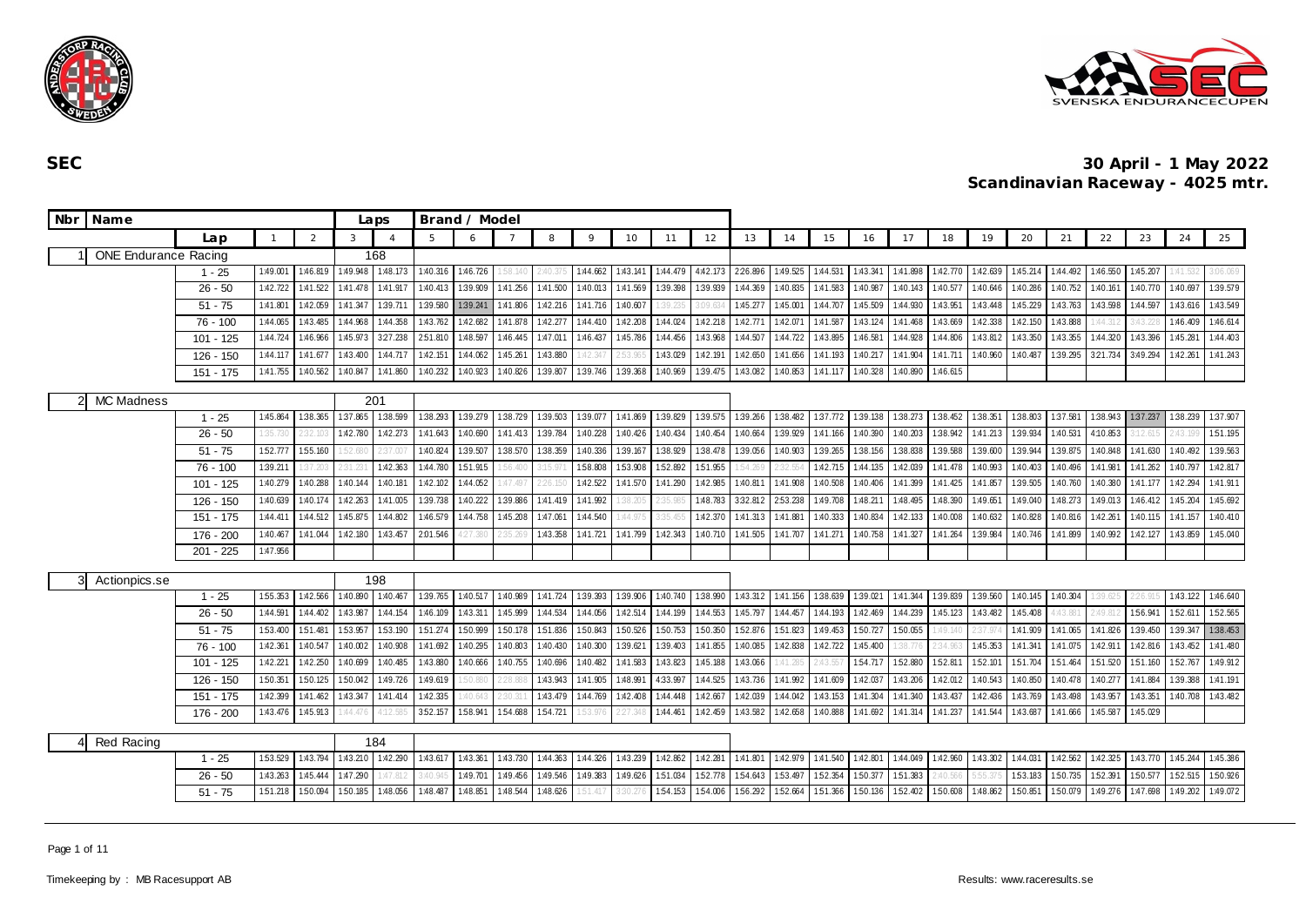



| Nbr | Name                        |             |          |          |          | Laps           |          | Brand / Model |          |          |              |          |          |          |                   |          |          |          |          |           |          |          |                 |          |          |          |          |
|-----|-----------------------------|-------------|----------|----------|----------|----------------|----------|---------------|----------|----------|--------------|----------|----------|----------|-------------------|----------|----------|----------|----------|-----------|----------|----------|-----------------|----------|----------|----------|----------|
|     |                             | Lan         |          | 2        | 3        | $\overline{A}$ | 5        | 6             |          | 8        | $\mathsf{Q}$ | 10       | 11       | 12       | 13                | 14       | 15       | 16       | 17       | 18        | 19       | 20       | 21              | 22       | 23       | 24       | 25       |
|     | <b>ONE Endurance Racing</b> |             |          |          |          | 168            |          |               |          |          |              |          |          |          |                   |          |          |          |          |           |          |          |                 |          |          |          |          |
|     |                             | $1 - 25$    | 1:49.001 | 1:46.819 | 1:49.948 | 1:48.173       | 1:40.316 | 1:46.726      | 1:58.1   | 240.37   | 1:44.662     | 1:43.141 | 1:44.479 | 4:42.173 | 226.896           | 1:49.525 | 1:44.531 | 1:43.341 | 1:41.898 | 1:42.770  | 1:42.639 | 1:45.214 | 1:44.492        | 1:46.550 | 1:45.207 |          | 3:06.069 |
|     |                             | $26 - 50$   | 1:42.722 | 1:41.522 | 1:41.478 | 1:41.917       | 1:40.413 | 1:39.909      | 1:41.256 | 1:41.500 | 1:40.013     | 1:41.569 | 1:39.398 | 1:39.939 | 1:44.369          | 1:40.835 | 1:41.583 | 1:40.987 | 1:40.143 | 1:40.577  | 1:40.646 | 1:40.286 | 1:40.752        | 1:40.161 | 1:40.770 | 1:40.697 | 1:39.579 |
|     |                             | $51 - 75$   | 1:41.801 | 1:42.059 | 1:41.347 | 1:39.711       | 1:39.580 | 1:39.241      | 1:41.806 | 1:42.216 | 1:41.716     | 1:40.607 | 1:39.235 | 3:09.634 | 1:45.277          | 1:45.001 | 1:44.707 | 1:45.509 | 1:44.930 | 1:43.951  | 1:43.448 | 1:45.229 | 1:43.763        | 1:43.598 | 1:44.597 | 1:43.616 | 1:43.549 |
|     |                             | $76 - 100$  | 1:44.065 | 1:43.485 | 1:44.968 | 1:44.358       | 1:43.762 | 1:42.682      | 1:41.878 | 1:42.277 | 1:44.410     | 1:42.208 | 1:44.024 | 1:42.218 | 1:42.771          | 1:42.071 | 1:41.587 | 1.43.124 | 1:41.468 | 1:43.669  | 1:42.338 | 1:42.150 | 1:43.888        | 1:44.312 | 3:43.22  | 1:46.409 | 1:46.614 |
|     |                             | $101 - 125$ | 1:44.724 | 1:46.966 | 1:45.973 | 327.238        | 251.810  | 1:48.597      | 1:46.445 | 1:47.011 | 1:46.437     | 1:45.786 | 1:44.456 | 1:43.968 | 1:44.507          | 1:44.722 | 1:43.895 | 1:46.581 | 1:44.928 | 1:44.806  | 1:43.812 | 1:43.350 | 1:43.355        | 1:44.320 | 1:43.396 | 1:45.281 | 1:44.403 |
|     |                             | 126 - 150   | 1:44.117 | 1:41.677 | 1:43.400 | 1:44.717       | 1:42.151 | 1:44.062      | 1:45.261 | 1:43.880 |              | :53.96   | 1:43.029 | 1:42.191 | 1:42.650          | 1:41.656 | 1:41.193 | 1:40.217 | 1:41.904 | 1:41.711  | 1:40.960 | 1:40.487 | 1:39.295        | 3:21.734 | 3:49.294 | 1:42.261 | 1:41.243 |
|     |                             | $151 - 175$ | 1:41.755 | 1:40.562 | 1:40.847 | 1:41.860       | 1:40.232 | 1:40.923      | 1:40.826 | 1:39.807 | 1:39.746     | 1:39.368 | 1:40.969 | 1:39.475 | 1:43.082          | 1:40.853 | 1:41.117 | 1:40.328 | 1:40.890 | 1:46.615  |          |          |                 |          |          |          |          |
|     | 2 MC Madness                |             |          |          |          | 201            |          |               |          |          |              |          |          |          |                   |          |          |          |          |           |          |          |                 |          |          |          |          |
|     |                             | $1 - 25$    | 1:45.864 | 1:38.365 | 1:37.865 | 1:38.599       | 1:38.293 | 1:39.279      | 1:38.729 | 1:39.503 | 1:39.077     | 1:41.869 | 1:39.829 | 1:39.575 | 1:39.266          | 1:38.482 | 1:37.772 | 1:39.138 | 1:38.273 | 1:38.452  | 1:38.351 | 1:38.803 | 1:37.581        | 1:38.943 | 1:37.237 | 1:38.239 | 1:37.907 |
|     |                             | $26 - 50$   | 1:35.730 | 2:32.10  | 1:42.780 | 1:42.273       | 1:41.643 | 1:40.690      | 1:41.413 | 1:39.784 | 1:40.228     | 1:40.426 | 1:40.434 | 1:40.454 | 1:40.664          | 1:39.929 | 1:41.166 | 1:40.390 | 1:40.203 | 1:38.942  | 1:41.213 | 1:39.934 | 1:40.531        | 4:10.853 | :12.615  | 2:43.19  | 1:51.195 |
|     |                             | $51 - 75$   | 1:52.777 | 1:55.160 | 52.680   | :37.007        | 1:40.824 | 1:39.507      | 1:38.570 | 1:38.359 | 1:40.336     | 1:39.167 | 1:38.929 | 1:38.478 | 1:39.056          | 1:40.903 | 1:39.265 | 1:38.156 | 1:38.838 | 1:39.588  | 1:39.600 | 1:39.944 | 1:39.875        | 1:40.848 | 1:41.630 | 1:40.492 | 1:39.563 |
|     |                             | $76 - 100$  | 1:39.211 | 37.203   |          | 1:42.363       | 1:44.780 | 151.915       |          | 15.97    | 1:58.808     | 1:53.908 | 152.892  | 1:51.955 | .54.269           |          | 1:42.715 | 1:44.135 | 1:42.039 | 1:41.478  | 1:40.993 | 1:40.403 | 1:40.496        | 1:41.981 | 1:41.262 | 1:40.797 | 1:42.817 |
|     |                             | $101 - 125$ | 1:40.279 | 1:40.288 | 1:40.144 | 1:40.181       | 1:42.102 | 1:44.052      | 1:47.497 | 26.15    | 1:42.522     | 1:41.570 | 1:41.290 | 1:42.985 | 1:40.811          | 1:41.908 | 1:40.508 | 1:40.406 | 1:41.399 | 1:41.425  | 1:41.857 | 1:39.505 | 1:40.760        | 1:40.380 | 1:41.177 | 1:42.294 | 1:41.911 |
|     |                             | 126 - 150   | 1:40.639 | 1:40.174 | 1:42.263 | 1:41.005       | 1:39.738 | 1:40.222      | 1:39.886 | 1:41.419 | 1:41.992     | 38.20    | 2:35.98  | 1:48.783 | 3:32.812          | 253.238  | 1:49.708 | 1:48.211 | 1:48.495 | 1:48.390  | 1:49.651 | 1:49.040 | 1:48.273        | 1:49.013 | 1:46.412 | 1:45.204 | 1:45.692 |
|     |                             | 151 - 175   | 1:44.411 | 1:44.512 | 1:45.875 | 1:44.802       | 1:46.579 | 1:44.758      | 1:45.208 | 1:47.06  | 1:44.540     | :44.97   | 3:35.4   | 1:42.370 | 1:41.313          | 1:41.88  | 1:40.333 | 1:40.834 | 1:42.133 | 1:40.008  | 1:40.632 | 1:40.828 | 1:40.816        | 1:42.261 | 1:40.115 | 1:41.157 | 1:40.410 |
|     |                             | 176 - 200   | 1:40.467 | 1:41.044 | 1:42.180 | 1:43.457       | 2:01.546 | 27.380        | 235.1    | 1:43.358 | 1:41.721     | 1:41.799 | 1:42.343 | 1:40.710 | 1:41.505          | 1:41.707 | 1:41.271 | 1:40.758 | 1:41.327 | 1:41.264  | 1:39.984 | 1:40.746 | 1:41.899        | 1:40.992 | 1:42.127 | 1:43.859 | 1:45.040 |
|     |                             | $201 - 225$ | 1:47.956 |          |          |                |          |               |          |          |              |          |          |          |                   |          |          |          |          |           |          |          |                 |          |          |          |          |
|     | Actionpics.se               |             |          |          |          | 198            |          |               |          |          |              |          |          |          |                   |          |          |          |          |           |          |          |                 |          |          |          |          |
|     |                             | $1 - 25$    | 1:55.353 | 1:42.566 | 1:40.890 | 1:40.467       | 1:39.765 | 1:40.517      | 1:40.989 | 1:41.724 | 1:39.393     | 1:39.906 | 1:40.740 | 1:38.990 | 1:43.312          | 1:41.156 | 1:38.639 | 1:39.021 | 1:41.344 | 1:39.839  | 1:39.560 | 1:40.145 | 1:40.304        | 1:39.625 | 26.91    | 1:43.122 | 1:46.640 |
|     |                             | $26 - 50$   | 1:44.591 | 1:44.402 | 1:43.987 | 1:44.154       | 1:46.109 | 1:43.311      | 1:45.999 | 1:44.534 | 1:44.056     | 1:42.514 | 1:44.199 | 1:44.553 | 1:45.797          | 1:44.457 | 1:44.193 | 1:42.469 | 1:44.239 | 1:45.123  | 1:43.482 | 1:45.408 | $43.88^{\circ}$ | 2:49.81  | 1:56.941 | 152.611  | 152.565  |
|     |                             | $51 - 75$   | 1:53.400 | 151.481  | 153.957  | 1:53.190       | 151.274  | 1:50.999      | 1:50.178 | 1:51.836 | 1:50.843     | 1:50.526 | 1:50.753 | 1:50.350 | 1:52.876          | 151.823  | 1:49.453 | 150.727  | 1:50.055 | 1:49.140  |          | 1:41.909 | 1:41.065        | 1:41.826 | 1:39.450 | 1:39.347 | 1:38.453 |
|     |                             | $76 - 100$  | 1:42.361 | 1:40.547 | 1:40.002 | 1:40.908       | 1:41.692 | 1:40.295      | 1:40.803 | 1:40.430 | 1:40.300     | 1:39.621 | 1:39.403 | 1:41.855 | 1:40.085          | 1:42.838 | 1:42.722 | 1:45.400 | 38.77    | 24.963    | 1:45.353 | 1:41.341 | 1:41.075        | 1:42.911 | 1:42.816 | 1:43.452 | 1:41.480 |
|     |                             | 101 - 125   | 1:42.221 | 1:42.250 | 1:40.699 | 1:40.485       | 1:43.880 | 1:40.666      | 1:40.755 | 1:40.696 | 1:40.482     | 1:41.583 | 1:43.823 | 1:45.188 | 1:43.066          | :41.285  | 2:43.55  | 1:54.717 | 152.880  | 1:52.811  | 1:52.101 | 151.704  | 151.464         | 1:51.520 | 1:51.160 | 1:52.767 | 1:49.912 |
|     |                             | 126 - 150   | 1:50.351 | 1:50.125 | 1:50.042 | 1:49.726       | 1:49.619 | :50.880       | 2:28.88  | 1:43.943 | 1:41.905     | 1:48.991 | 4:33.997 | 1:44.525 | 1:43.736 1:41.992 |          | 1:41.609 | 1:42.037 | 1:43.206 | 1:42.012  | 1:40.543 | 1:40.850 | 1:40.478        | 1:40.277 | 1:41.884 | 1:39.388 | 1:41.191 |
|     |                             | 151 - 175   | 1:42.399 | 1:41.462 | 1:43.347 | 1:41.414       | 1:42.335 | :40.643       |          | 1:43.479 | 1:44.769     | 1:42.408 | 1:44.448 | 1:42.667 | 1:42.039          | 1:44.042 | 1:43.153 | 1:41.304 | 1:41.340 | 1:43.437  | 1:42.436 | 1:43.769 | 1:43.498        | 1:43.957 | 1:43.351 | 1:40.708 | 1:43.482 |
|     |                             | 176 - 200   | 1:43.476 | 1:45.913 | 1:44.476 | 1:12.585       | 352.157  | 1:58.941      | 1:54.688 | 1:54.721 |              | 2:27.348 | 1:44.461 | 1:42.459 | 1:43.582          | 1:42.658 | 1:40.888 | 1:41.692 | 1:41.314 | 1:41.237  | 1:41.544 | 1:43.687 | 1:41.666        | 1:45.587 | 1:45.029 |          |          |
|     |                             |             |          |          |          | 184            |          |               |          |          |              |          |          |          |                   |          |          |          |          |           |          |          |                 |          |          |          |          |
|     | Red Racing                  | $1 - 25$    | 1:53.529 | 1:43.794 | 1:43.210 | 1:42.290       | 1:43.617 | 1:43.361      | 1:43.730 | 1:44.363 | 1:44.326     | 1:43.239 | 1:42.862 | 1:42.281 | 1:41.801          | 1:42.979 | 1:41.540 | 1:42.801 | 1:44.049 | 1:42.960  | 1:43.302 | 1:44.031 | 1:42.562        | 1:42.325 | 1:43.770 | 1:45.244 | 1:45.386 |
|     |                             | $26 - 50$   | 1:43.263 | 1:45.444 | 1:47.290 | :47.812        | 3:40.9   | 1:49.701      | 1:49.456 | 1:49.546 | 1:49.383     | 1:49.626 | 1:51.034 | 152.778  | 1:54.643          | 1:53.497 | 1:52.354 | 150.377  | 1:51.383 | $-40.566$ |          | 153.183  | 1:50.735        | 1:52.391 | 1:50.577 | 1:52.515 | 1:50.926 |
|     |                             | $51 - 75$   | 1:51.218 | 1:50.094 | 1:50.185 | 1:48.056       | 1:48.487 | 1:48.851      | 1:48.544 | 1:48.626 | 1:51.417     | 3:30.27  | 1:54.153 | 1:54.006 | 156.292           | 1:52.664 | 151.366  | 150.136  | 1:52.402 | 1:50.608  | 1:48.862 | 1:50.851 | 1:50.079        | 1:49.276 | 1:47.698 | 1:49.202 | 1:49.072 |
|     |                             |             |          |          |          |                |          |               |          |          |              |          |          |          |                   |          |          |          |          |           |          |          |                 |          |          |          |          |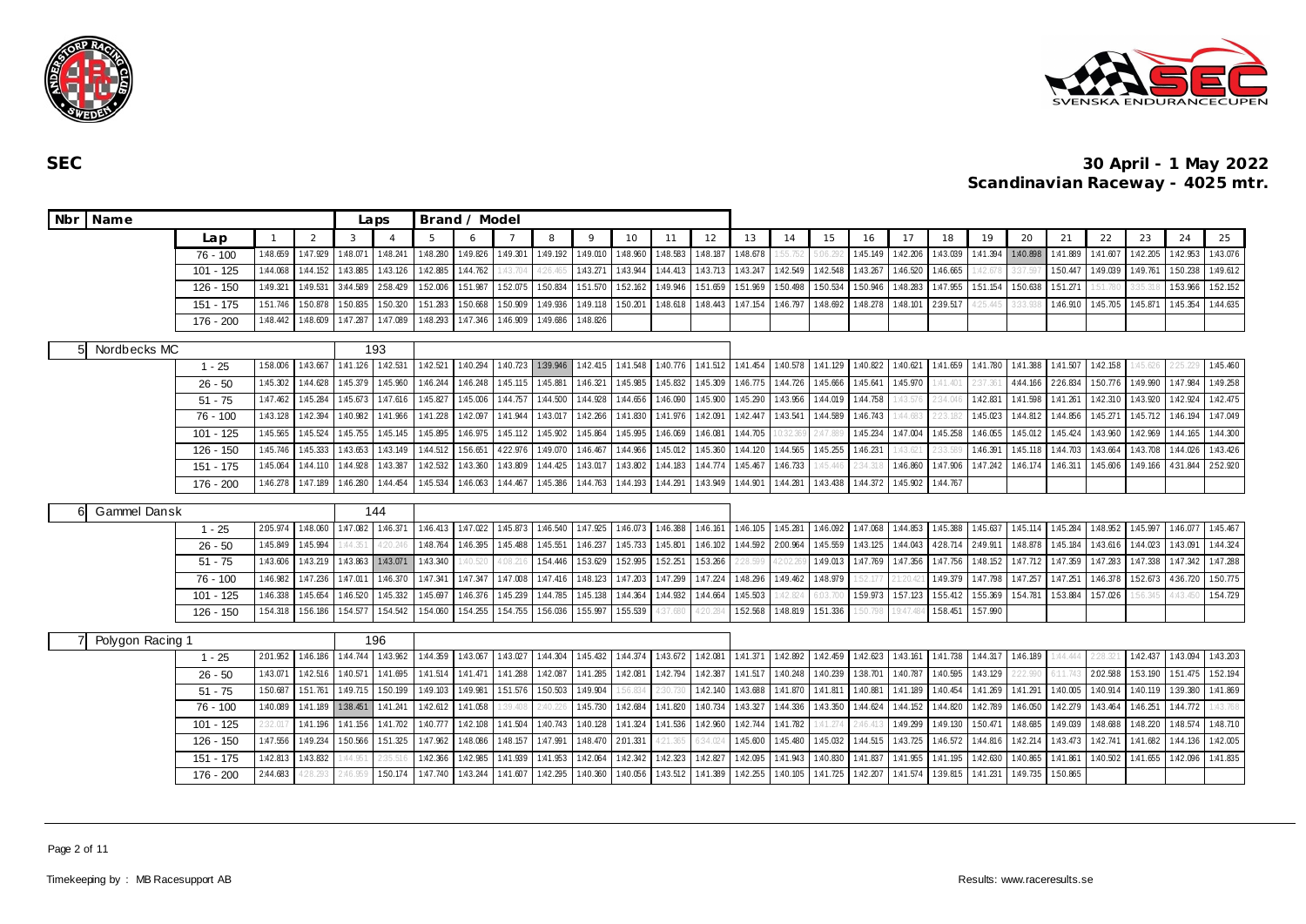



| Nbr Name         |                                               |          |          |          | Laps           |          | Brand / Model |          |          |             |          |          |          |          |          |          |          |          |          |                   |          |          |          |          |          |          |
|------------------|-----------------------------------------------|----------|----------|----------|----------------|----------|---------------|----------|----------|-------------|----------|----------|----------|----------|----------|----------|----------|----------|----------|-------------------|----------|----------|----------|----------|----------|----------|
|                  | Lap                                           |          | 2        | 3        | $\overline{4}$ |          | 6             |          | 8        | $\mathsf Q$ | 10       | 11       | 12       | 13       | 14       | 15       | 16       | 17       | 18       | 19                | 20       | 21       | 22       | 23       | 24       | 25       |
|                  | $76 - 100$                                    | 1:48.659 | 1:47.929 | 1:48.071 | 1:48.241       | 1:48.280 | 1:49.826      | 1:49.301 | 1:49.192 | 1:49.010    | 1:48.960 | 1:48.583 | 1:48.187 | 1:48.678 |          |          | 1:45.149 | 1:42.206 | 1:43.039 | 1:41.394          | 1:40.898 | 1:41.889 | 1:41.607 | 1:42.205 | 1:42.953 | 1:43.076 |
|                  | $101 - 125$                                   | 1:44.068 | 1:44.152 | 1:43.885 | 1:43.126       | 1:42.885 | 1:44.762      | 1:43.704 | 4:26.46  | 1:43.271    | 1:43.944 | 1:44.413 | 1:43.713 | 1:43.247 | 1:42.549 | 1:42.548 | 1:43.267 | 1:46.520 | 1:46.665 | :42.67            | 37.597   | 150.447  | 1:49.039 | 1:49.761 | 1:50.238 | 1:49.612 |
|                  | $126 - 150$                                   | 1:49.321 | 1:49.531 | 3:44.589 | 2:58.429       | 1:52.006 | 151.987       | 1:52.075 | 1:50.834 | 1:51.570    | 1:52.162 | 1:49.946 | 1:51.659 | 1:51.969 | 1:50.498 | 1:50.534 | 1:50.946 | 1:48.283 | 1:47.955 | 1:51.154          | 150.638  | 1:51.271 | 1:51.780 | 3:35.31  | 1:53.966 | 1:52.152 |
|                  | 151 - 175                                     | 151.746  | 1:50.878 | 1:50.835 | 1:50.320       | 1:51.283 | 1:50.668      | 1:50.909 | 1:49.936 | 1:49.118    | 1:50.201 | 1:48.618 | 1:48.443 | 1:47.154 | 1:46.797 | 1:48.692 | 1:48.278 | 1:48.101 | 2:39.517 | 25.44             | :33.938  | 1:46.910 | 1:45.705 | 1:45.871 | 1:45.354 | 1:44.635 |
|                  | 176 - 200                                     | 1:48.442 | 1:48.609 | 1:47.287 | 1:47.089       | 1:48.293 | 1:47.346      | 1:46.909 | 1:49.686 | 1:48.826    |          |          |          |          |          |          |          |          |          |                   |          |          |          |          |          |          |
| Nordbecks MC     |                                               |          |          |          | 193            |          |               |          |          |             |          |          |          |          |          |          |          |          |          |                   |          |          |          |          |          |          |
|                  | $1 - 25$                                      | 1:58.006 | 1:43.667 | 1:41.126 | 1:42.531       | 1:42.521 | 1:40.294      | 1:40.723 | 1:39.946 | 1:42.415    | 1:41.548 | 1:40.776 | 1:41.512 | 1:41.454 | 1:40.578 | 1:41.129 | 1:40.822 | 1:40.621 | 1:41.659 | 1:41.780          | 1:41.388 | 1:41.507 | 1:42.158 | :45.626  |          | 1:45.460 |
|                  | 1:44.628<br>$26 - 50$<br>1:45.302             |          |          |          | 1:45.960       | 1:46.244 | 1:46.248      | 1:45.115 | 1:45.881 | 1:46.321    | 1:45.985 | 1:45.832 | 1:45.309 | 1:46.775 | 1:44.726 | 1:45.666 | 1:45.641 | 1:45.970 | 1:41.401 | 2:37.36           | 4:44.166 | 2:26.834 | 150.776  | 1:49.990 | 1:47.984 | 1:49.258 |
|                  | $51 - 75$                                     | 1:47.462 | 1:45.284 | 1:45.673 | 1:47.616       | 1:45.827 | 1:45.006      | 1:44.757 | 1:44.500 | 1:44.928    | 1:44.656 | 1:46.090 | 1:45.900 | 1:45.290 | 1:43.956 | 1:44.019 | 1:44.758 | :43.57   | :34.046  | 1:42.831          | 1:41.598 | 1:41.261 | 1:42.310 | 1:43.920 | 1:42.924 | 1:42.475 |
|                  | 76 - 100                                      | 1:43.128 | 1:42.394 | 1:40.982 | 1:41.966       | 1:41.228 | 1:42.097      | 1:41.944 | 1:43.017 | 1:42.266    | 1:41.830 | 1:41.976 | 1:42.091 | 1:42.447 | 1:43.541 | 1:44.589 | 1:46.743 | 1.44.683 |          | 1:45.023          | 1:44.812 | 1:44.856 | 1:45.271 | 1:45.712 | 1:46.194 | 1:47.049 |
|                  | $101 - 125$                                   | 1:45.565 | 1:45.524 | 1:45.755 | 1:45.145       | 1:45.895 | 1:46.975      | 1:45.112 | 1:45.902 | 1:45.864    | 1:45.995 | 1:46.069 | 1:46.08  | 1:44.705 |          | 2:47.88  | 1:45.234 | 1:47.004 | 1:45.258 | 1:46.055          | 1:45.012 | 1:45.424 | 1:43.960 | 1:42.969 | 1:44.165 | 1:44.300 |
|                  | $126 - 150$                                   | 1:45.746 | 1:45.333 | 1:43.653 | 1:43.149       | 1:44.512 | 1:56.651      | 422.976  | 1:49.070 | 1:46.467    | 1:44.966 | 1:45.012 | 1:45.360 | 1:44.120 | 1:44.565 | 1:45.255 | 1:46.231 | :43.62   | !:33.58' | 1:46.391          | 1:45.118 | 1:44.703 | 1:43.664 | 1:43.708 | 1:44.026 | 1:43.426 |
|                  | $151 - 175$                                   | 1:45.064 | 1:44.110 | 1:44.928 | 1:43.387       | 1:42.532 | 1:43.360      | 1:43.809 | 1:44.425 | 1:43.017    | 1:43.802 | 1:44.183 | 1:44.774 | 1:45.467 | 1:46.733 | 1:45.446 | 2:34.31  | 1:46.860 | 1:47.906 | 1:47.242          | 1:46.174 | 1:46.311 | 1:45.606 | 1:49.166 | 4:31.844 | 2:52.920 |
|                  | 176 - 200                                     | 1:46.278 | 1:47.189 | 1:46.280 | 1:44.454       | 1:45.534 | 1:46.063      | 1:44.467 | 1:45.386 | 1:44.763    | 1:44.193 | 1:44.291 | 1:43.949 | 1:44.901 | 1:44.281 | 1:43.438 | 1:44.372 | 1:45.902 | 1:44.767 |                   |          |          |          |          |          |          |
| Gammel Dansk     |                                               |          |          |          | 144            |          |               |          |          |             |          |          |          |          |          |          |          |          |          |                   |          |          |          |          |          |          |
|                  | $1 - 25$                                      | 2:05.974 | 1:48.060 | 1:47.082 | 1:46.371       | 1:46.413 | 1:47.022      | 1:45.873 | 1:46.540 | 1:47.925    | 1:46.073 | 1:46.388 | 1:46.161 | 1:46.105 | 1:45.281 | 1:46.092 | 1:47.068 | 1:44.853 | 1:45.388 | 1:45.637          | 1:45.114 | 1:45.284 | 1:48.952 | 1:45.997 | 1:46.077 | 1:45.467 |
|                  | $26 - 50$                                     | 1:45.849 | 1:45.994 | 1.44.351 | $-20.24$       | 1:48.764 | 1:46.395      | 1:45.488 | 1:45.551 | 1:46.237    | 1:45.733 | 1:45.801 | 1:46.102 | 1:44.592 | 2:00.964 | 1:45.559 | 1:43.125 | 1:44.043 | 4:28.714 | 2:49.91           | 1:48.878 | 1:45.184 | 1:43.616 | 1:44.023 | 1:43.091 | 1:44.324 |
|                  | $51 - 75$                                     | 1:43.606 | 1:43.219 | 1:43.863 | 1:43.071       | 1:43.340 | :40.520       | 4:08.21  | 1:54.446 | 153.629     | 1:52.995 | 1:52.251 | 153.266  |          | 2.02.26  | 1:49.013 | 1:47.769 | 1:47.356 | 1:47.756 | 1:48.152          | 1:47.712 | 1:47.359 | 1:47.283 | 1:47.338 | 1:47.342 | 1:47.288 |
|                  | $76 - 100$                                    | 1:46.982 | 1:47.236 | 1:47.011 | 1:46.370       | 1:47.341 | 1:47.347      | 1:47.008 | 1:47.416 | 1:48.123    | 1:47.203 | 1:47.299 | 1:47.224 | 1:48.296 | 1:49.462 | 1:48.979 | 52.17    |          | 1:49.379 | 1:47.798          | 1:47.257 | 1:47.25  | 1:46.378 | 152.673  | 4:36.720 | 1:50.775 |
|                  | $101 - 125$                                   | 1:46.338 | 1:45.654 | 1:46.520 | 1:45.332       | 1:45.697 | 1:46.376      | 1:45.239 | 1:44.785 | 1:45.138    | 1:44.364 | 1:44.932 | 1:44.664 | 1:45.503 | :42.82   | 5:03.7   | 1:59.973 | 157.123  | 1:55.412 | 1:55.369          | 1:54.781 | 1:53.884 | 1:57.026 | 56.34    |          | 1:54.729 |
|                  | $126 - 150$                                   | 1:54.318 | 1:56.186 | 1:54.577 | 1:54.542       | 1:54.060 | 1:54.255      | 1:54.755 | 1:56.036 | 1:55.997    | 1:55.539 | 4:37.680 |          | 1:52.568 | 1:48.819 | 1:51.336 | 1:50.798 | 9:47     | 1:58.451 | 1:57.990          |          |          |          |          |          |          |
| Polygon Racing 1 |                                               |          |          |          | 196            |          |               |          |          |             |          |          |          |          |          |          |          |          |          |                   |          |          |          |          |          |          |
|                  | $1 - 25$                                      | 2:01.952 | 1:46.186 | 1:44.744 | 1:43.962       | 1:44.359 | 1:43.067      | 1:43.027 | 1:44.304 | 1:45.432    | 1:44.374 | 1:43.672 | 1:42.081 | 1:41.371 | 1:42.892 | 1:42.459 | 1:42.623 | 1:43.161 | 1:41.738 | 1:44.317 1:46.189 |          | 144.444  | 2:28.321 | 1:42.437 | 1:43.094 | 1:43.203 |
|                  | $26 - 50$                                     | 1:43.07  | 1:42.516 | 1:40.571 | 1:41.695       | 1:41.514 | 1:41.471      | 1:41.288 | 1:42.087 | 1:41.285    | 1:42.081 | 1:42.794 | 1:42.387 | 1:41.517 | 1:40.248 | 1:40.239 | 1:38.701 | 1:40.787 | 1:40.595 | 1:43.129          | 22.990   | 6:11.74  | 2:02.588 | 1:53.190 | 151.475  | 1:52.194 |
|                  | $51 - 75$                                     | 1:50.687 | 151.761  | 1:49.715 | 1:50.199       | 1:49.103 | 1:49.981      | 151.576  | 1:50.503 | 1:49.904    | :56.834  | 2:30.73  | 1:42.140 | 1:43.688 | 1:41.870 | 1:41.811 | 1:40.881 | 1:41.189 | 1:40.454 | 1:41.269          | 1:41.291 | 1:40.005 | 1:40.914 | 1:40.119 | 1:39.380 | 1:41.869 |
|                  | 76 - 100                                      | 1:41.189 | 1:38.451 | 1:41.241 | 1.42.612       | 1:41.058 | 1:39.408      | 2:40.226 | 1:45.730 | 1:42.684    | 1:41.820 | 1:40.734 | 1:43.327 | 1:44.336 | 1:43.350 | 1:44.624 | 1:44.152 | 1:44.820 | 1:42.789 | 1:46.050          | 1:42.279 | 1:43.464 | 1:46.251 | 1:44.772 | :43.768  |          |
|                  | 1:40.089<br>1:41.196<br>101 - 125<br>2:32.011 |          |          |          |                | 1:40.777 | 1:42.108      | 1:41.504 | 1:40.743 | 1:40.128    | 1:41.324 | 1:41.536 | 1:42.960 | 1:42.744 | 1:41.782 | 1:41.274 | 2:46.413 | 1:49.299 | 1:49.130 | 1:50.471          | 1:48.685 | 1:49.039 | 1:48.688 | 1:48.220 | 1:48.574 | 1:48.710 |
|                  | $126 - 150$<br>1:47.556<br>1:49.234           |          |          |          |                | 1:47.962 | 1:48.086      | 1:48.157 | 1:47.991 | 1:48.470    | 2:01.331 | 4:21.365 | 34.024   | 1:45.600 | 1:45.480 | 1:45.032 | 1:44.515 | 1:43.725 | 1:46.572 | 1:44.816          | 1:42.214 | 1:43.473 | 1:42.741 | 1:41.682 | 1:44.136 | 1:42.005 |
|                  | 151 - 175                                     | 1:43.832 | :44.95   |          | 1:42.366       | 1:42.985 | 1:41.939      | 1:41.953 | 1:42.064 | 1:42.342    | 1:42.323 | 1:42.827 | 1:42.095 | 1:41.943 | 1:40.830 | 1:41.837 | 1:41.955 | 1:41.195 | 1:42.630 | 1:40.865          | 1:41.861 | 1:40.502 | 1:41.655 | 1:42.096 | 1:41.835 |          |
|                  | 176 - 200                                     | 28.29    |          | 1:50.174 | 1:47.740       | 1:43.244 | 1:41.607      | 1:42.295 | 1:40.360 | 1:40.056    | 1:43.512 | 1:41.389 | 1:42.255 | 1:40.105 | 1:41.725 | 1:42.207 | 1:41.574 | 1:39.815 | 1:41.231 | 1:49.735          | 1:50.865 |          |          |          |          |          |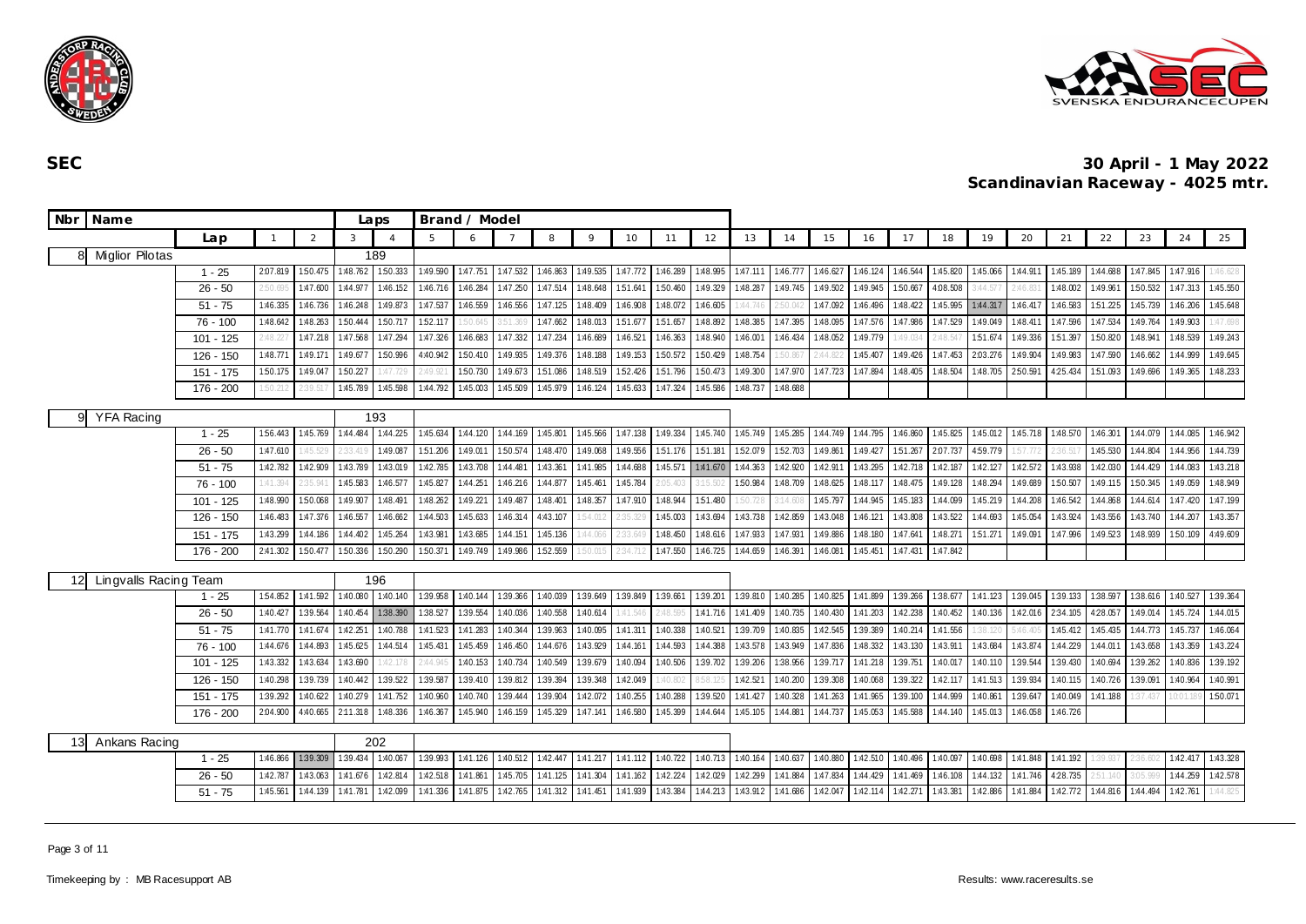



| <b>Nbr</b>      | Name                  |             |          |          |               | Laps           |          | Brand / Model |          |          |          |          |          |          |                   |          |                   |          |          |          |          |          |          |          |          |          |          |
|-----------------|-----------------------|-------------|----------|----------|---------------|----------------|----------|---------------|----------|----------|----------|----------|----------|----------|-------------------|----------|-------------------|----------|----------|----------|----------|----------|----------|----------|----------|----------|----------|
|                 |                       | Lap         |          | 2        | $\mathcal{R}$ | $\overline{A}$ | 5        | 6             |          | 8        | 9        | 10       | 11       | 12       | 13                | 14       | 15                | 16       | 17       | 18       | 19       | 20       | 21       | 22       | 23       | 24       | 25       |
|                 | 8 Miglior Pilotas     |             |          |          |               | 189            |          |               |          |          |          |          |          |          |                   |          |                   |          |          |          |          |          |          |          |          |          |          |
|                 |                       | $1 - 25$    | 2.07.819 | 1:50.475 | 1:48.762      | 150.333        | 1:49.590 | 1:47.751      | 1:47.532 | 1:46.863 | 1:49.535 | 1:47.772 | 1:46.289 | 1:48.995 | 1:47.111          | 1:46.777 | 1:46.627 1:46.124 |          | 1:46.544 | 1:45.820 | 1:45.066 | 1:44.911 | 1:45.189 | 1:44.688 | 1:47.845 | 1:47.916 | 1:46.628 |
|                 |                       | $26 - 50$   | :50.695  | 1:47.600 | 1:44.977      | 1:46.152       | 1:46.716 | 1:46.284      | 1:47.250 | 1:47.514 | 1:48.648 | 1:51.641 | 1:50.460 | 1:49.329 | 1:48.287          | 1:49.745 | 1:49.502          | 1:49.945 | 1:50.667 | 4:08.508 | 3:44.57  | :46.831  | 1:48.002 | 1:49.961 | 1:50.532 | 1:47.313 | 1:45.550 |
|                 |                       | $51 - 75$   | 1:46.335 | 1:46.736 | 1:46.248      | 1:49.873       | 1:47.537 | 1:46.559      | 1:46.556 | 1:47.125 | 1:48.409 | 1:46.908 | 1:48.072 | 1:46.605 | 1:44.74           | :50.04   | 1:47.092          | 1:46.496 | 1:48.422 | 1:45.995 | 1:44.317 | 1:46.417 | 1:46.583 | 1:51.225 | 1:45.739 | 1:46.206 | 1:45.648 |
|                 |                       | $76 - 100$  | 1:48.642 | 1:48.263 | 1:50.444      | 1:50.717       | 152.117  | 50.645        |          | 1:47.662 | 1:48.013 | 1:51.677 | 1:51.657 | 1:48.892 | 1:48.385          | 1:47.395 | 1:48.095          | 1:47.576 | 1:47.986 | 1:47.529 | 1:49.049 | 1:48.411 | 1:47.596 | 1:47.534 | 1:49.764 | 1:49.903 | :47.698  |
|                 |                       | $101 - 125$ | :48.227  | 1:47.218 | 1:47.568      | 1:47.294       | 1:47.326 | 1:46.683      | 1:47.332 | 1:47.234 | 1:46.689 | 1:46.521 | 1:46.363 | 1:48.940 | $1:46.00^{\circ}$ | 1:46.434 | 1:48.052          | 1:49.779 | 1:49.03  | :48.54   | 151.674  | 1:49.336 | 1:51.397 | 1:50.820 | 1:48.941 | 1:48.539 | 1:49.243 |
|                 |                       | 126 - 150   | 1:48.771 | 1:49.171 | 1:49.677      | 1:50.996       | 4:40.942 | 1:50.410      | 1:49.935 | 1:49.376 | 1:48.188 | 1:49.153 | 1:50.572 | 1:50.429 | 1:48.754          | :50.86   | 2:44.8            | 1:45.407 | 1:49.426 | 1:47.453 | 2:03.276 | 1:49.904 | 1:49.983 | 1:47.590 | 1:46.662 | 1:44.999 | 1:49.645 |
|                 |                       | $151 - 175$ | 1:50.175 | 1:49.047 | 1:50.227      | :47.729        | 2:49.92  | 1:50.730      | 1:49.673 | 151.086  | 1:48.519 | 152.426  | 151.796  | 1:50.473 | 1:49.300          | 1:47.970 | 1:47.723          | 1:47.894 | 1:48.405 | 1:48.504 | 1:48.705 | 2:50.591 | 4:25.434 | 151.093  | 1:49.696 | 1:49.365 | 1:48.233 |
|                 |                       | 176 - 200   | 50.212   | 2:39.51  | 1:45.789      | 1:45.598       | 1:44.792 | 1:45.003      | 1:45.509 | 1:45.979 | 1:46.124 | 1:45.633 | 1:47.324 | 1:45.586 | 1:48.737          | 1:48.688 |                   |          |          |          |          |          |          |          |          |          |          |
|                 | 9 YFA Racing          |             |          |          |               | 193            |          |               |          |          |          |          |          |          |                   |          |                   |          |          |          |          |          |          |          |          |          |          |
|                 |                       | $1 - 25$    | 1:56.443 | 1:45.769 | 1:44.484      | 1:44.225       | 1:45.634 | 1:44.120      | 1:44.169 | 1:45.801 | 1:45.566 | 1:47.138 | 1:49.334 | 1:45.740 | 1:45.749          | 1:45.285 | 1:44.749 1:44.795 |          | 1:46.860 | 1:45.825 | 1:45.012 | 1:45.718 | 1:48.570 | 1:46.301 | 1:44.079 | 1:44.085 | 1:46.942 |
|                 |                       | $26 - 50$   | 1:47.610 | :45.529  |               | 1:49.087       | 1:51.206 | 1:49.011      | 1:50.574 | 1:48.470 | 1:49.068 | 1:49.556 | 1:51.176 | 151.181  | 1:52.079          | 1:52.703 | 1:49.861          | 1:49.427 | 1:51.267 | 2:07.737 | 459.779  | 57.772   |          | 1:45.530 | 1:44.804 | 1:44.956 | 1:44.739 |
|                 |                       | $51 - 75$   | 1:42.782 | 1:42.909 | 1:43.789      | 1:43.019       | 1:42.785 | 1:43.708      | 1:44.481 | 1:43.361 | 1:41.985 | 1:44.688 | 1:45.571 | 1:41.670 | 1:44.363          | 1:42.920 | 1:42.91           | 1:43.295 | 1:42.718 | 1:42.187 | 1:42.127 | 1:42.572 | 1:43.938 | 1:42.030 | 1:44.429 | 1:44.083 | 1:43.218 |
|                 |                       | $76 - 100$  | 1:41.394 | :35.94   | 1:45.583      | 1:46.577       | 1:45.827 | 1:44.251      | 1:46.216 | 1:44.877 | 1:45.461 | 1:45.784 | 2:05.40: | .15.50.  | 1:50.984          | 1:48.709 | 1:48.625          | 1:48.117 | 1:48.475 | 1:49.128 | 1:48.294 | 1:49.689 | 1:50.507 | 1:49.115 | 1:50.345 | 1:49.059 | 1:48.949 |
|                 |                       | $101 - 125$ | 1:48.990 | 1:50.068 | 1:49.907      | 1:48.491       | 1:48.262 | 1:49.221      | 1:49.487 | 1:48.401 | 1:48.357 | 1:47.910 | 1:48.944 | 1:51.480 | 1:50.72           | 3:14.601 | 1:45.797          | 1:44.945 | 1:45.183 | 1:44.099 | 1:45.219 | 1:44.208 | 1:46.542 | 1:44.868 | 1:44.614 | 1:47.420 | 1:47.199 |
|                 |                       | 126 - 150   | 1:46.483 | 1:47.376 | 1:46.557      | 1:46.662       | 1:44.503 | 1:45.633      | 1:46.314 | 4:43.107 | 54.012   | 2:35.329 | 1:45.003 | 1:43.694 | 1:43.738          | 1:42.859 | 1:43.048          | 1:46.121 | 1:43.808 | 1:43.522 | 1:44.693 | 1:45.054 | 1:43.924 | 1:43.556 | 1:43.740 | 1:44.207 | 1:43.357 |
|                 |                       | $151 - 175$ | 1:43.299 | 1:44.186 | 1:44.402      | 1:45.264       | 1:43.981 | 1:43.685      | 1:44.151 | 1:45.136 | 1:44.066 | 2:33.64  | 1:48.450 | 1:48.616 | 1:47.933          | 1:47.931 | 1:49.886          | 1:48.180 | 1:47.64  | 1:48.271 | 151.271  | 1:49.091 | 1:47.996 | 1:49.523 | 1:48.939 | 1:50.109 | 4:49.609 |
|                 |                       | 176 - 200   | 2:41.302 | 1:50.477 | 1:50.336      | 1:50.290       | 1:50.371 | 1:49.749      | 1:49.986 | 1:52.559 |          | 2:34.71  | 1:47.550 | 1:46.725 | 1:44.659          | 1:46.391 | 1:46.081          | 1:45.451 | 1:47.431 | 1:47.842 |          |          |          |          |          |          |          |
| 12 <sup>°</sup> | Lingvalls Racing Team |             |          |          |               | 196            |          |               |          |          |          |          |          |          |                   |          |                   |          |          |          |          |          |          |          |          |          |          |
|                 |                       | $1 - 25$    | 1:54.852 | 1:41.592 | 1:40.080      | 1:40.140       | 1:39.958 | 1:40.144      | 1:39.366 | 1:40.039 | 1:39.649 | 1:39.849 | 1:39.661 | 1:39.201 | 1:39.810          | 1:40.285 | 1:40.825          | 1:41.899 | 1:39.266 | 1:38.677 | 1:41.123 | 1:39.045 | 1:39.133 | 1:38.597 | 1:38.616 | 1:40.527 | 1:39.364 |
|                 |                       | $26 - 50$   | 1:40.427 | 1:39.564 | 1:40.454      | 1:38.390       | 1:38.527 | 1:39.554      | 1:40.036 | 1:40.558 | 1:40.614 | 1:41.546 | 2:48.59  | 1:41.716 | 1:41.409          | 1:40.735 | 1:40.430          | 1:41.203 | 1:42.238 | 1:40.452 | 1:40.136 | 1:42.016 | 2:34.105 | 428.057  | 1:49.014 | 1:45.724 | 1:44.015 |
|                 |                       | $51 - 75$   | 1:41.770 | 1:41.674 | 1:42.251      | 1:40.788       | 1:41.523 | 1:41.283      | 1:40.344 | 1:39.963 | 1:40.095 | 1:41.311 | 1:40.338 | 1:40.521 | 1:39.709          | 1:40.835 | 1:42.545 1:39.389 |          | 1:40.214 | 1:41.556 | 38.12    | :46.405  | 1:45.412 | 1:45.435 | 1:44.773 | 1:45.737 | 1:46.064 |
|                 |                       | $76 - 100$  | 1:44.676 | 1:44.893 | 1:45.625      | 1:44.514       | 1:45.431 | 1:45.459      | 1:46.450 | 1:44.676 | 1:43.929 | 1:44.161 | 1:44.593 | 1:44.388 | 1:43.578          | 1:43.949 | 1:47.836          | 1:48.332 | 1:43.130 | 1:43.911 | 1:43.684 | 1:43.874 | 1:44.229 | 1:44.011 | 1:43.658 | 1:43.359 | 1:43.224 |
|                 |                       | 101 - 125   | 1:43.332 | 1:43.634 | 1:43.690      | :42.178        | 2:44.945 | 1:40.153      | 1:40.734 | 1:40.549 | 1:39.679 | 1:40.094 | 1:40.506 | 1:39.702 | 1:39.206          | 1:38.956 | 1:39.717          | 1:41.218 | 1:39.751 | 1:40.017 | 1:40.110 | 1:39.544 | 1:39.430 | 1:40.694 | 1:39.262 | 1:40.836 | 1:39.192 |
|                 |                       | 126 - 150   | 1:40.298 | 1:39.739 | 1:40.442      | 1:39.522       | 1:39.587 | 1:39.410      | 1:39.812 | 1:39.394 | 1:39.348 | 1:42.049 | 1:40.802 |          | 1:42.521          | 1:40.200 | 1:39.308          | 1:40.068 | 1:39.322 | 1:42.117 | 1:41.513 | 1:39.934 | 1:40.115 | 1:40.726 | 1:39.091 | 1:40.964 | 1:40.991 |
|                 |                       | $151 - 175$ | 1:39.292 | 1:40.622 | 1:40.279      | 1:41.752       | 1:40.960 | 1:40.740      | 1:39.444 | 1:39.904 | 1:42.072 | 1:40.255 | 1:40.288 | 1:39.520 | 1:41.427          | 1:40.328 | 1:41.263          | 1:41.965 | 1:39.100 | 1:44.999 | 1:40.86  | 1:39.647 | 1:40.049 | 1:41.188 | 37.437   |          | 1:50.071 |
|                 |                       | $176 - 200$ | 2:04.900 | 4:40.665 | 2:11.318      | 1:48.336       | 1:46.367 | 1:45.940      | 1:46.159 | 1:45.329 | 1:47.141 | 1:46.580 | 1:45.399 | 1:44.644 | 1:45.105          | 1:44.881 | 1:44.737          | 1:45.053 | 1:45.588 | 1:44.140 | 1:45.013 | 1:46.058 | 1:46.726 |          |          |          |          |
| 13              | Ankans Racing         |             |          |          |               | 202            |          |               |          |          |          |          |          |          |                   |          |                   |          |          |          |          |          |          |          |          |          |          |
|                 |                       | $1 - 25$    | 1:46.866 | 1:39.309 | 1:39.434      | 1:40.067       | 1:39.993 | 1:41.126      | 1:40.512 | 1:42.447 | 1:41.217 | 1:41.112 | 1:40.722 | 1:40.713 | 1:40.164          | 1:40.637 | 1:40.880          | 1:42.510 | 1:40.496 | 1:40.097 | 1:40.698 | 1:41.848 | 1:41.192 | 1:39.937 | 2:36.602 | 1:42.417 | 1:43.328 |
|                 |                       | $26 - 50$   | 1:42.787 | 1:43.063 | 1:41.676      | 1:42.814       | 1:42.518 | 1:41.861      | 1:45.705 | 1:41.125 | 1:41.304 | 1:41.162 | 1:42.224 | 1:42.029 | 1:42.299          | 1:41.884 | 1:47.834          | 1:44.429 | 1:41.469 | 1:46.108 | 1:44.132 | 1:41.746 | 4:28.735 | 2:51.140 | 3:05.999 | 1:44.259 | 1:42.578 |
|                 |                       | $51 - 75$   | 1:45.561 | 1:44.139 | 1:41.781      | 1:42.099       | 1:41.336 | 1:41.875      | 1:42.765 | 1:41.312 | 1:41.451 | 1:41.939 | 1:43.384 | 1:44.213 | 1:43.912          | 1:41.686 | 1:42.047          | 1:42.114 | 1:42.271 | 1:43.381 | 1:42.886 | 1:41.884 | 1:42.772 | 1:44.816 | 1:44.494 | 1:42.761 | :44.825  |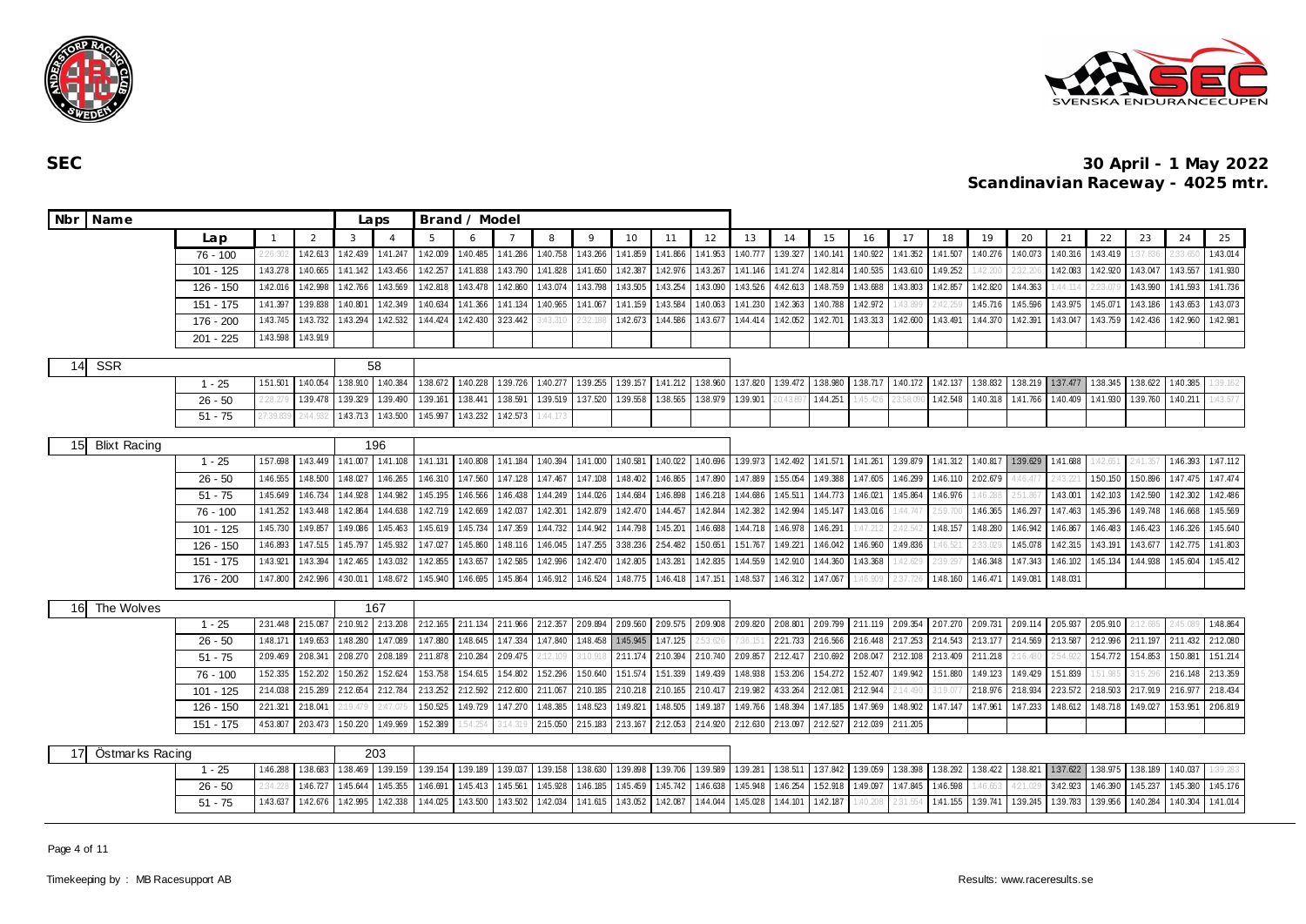



| Nbr Name                  |                       |                      |                      |                      | Laps                 |          | Brand / Model        |          |                      |                      |                      |          |                      |          |          |          |                      |                   |                                        |          |                      |                      |                      |                     |                      |                      |
|---------------------------|-----------------------|----------------------|----------------------|----------------------|----------------------|----------|----------------------|----------|----------------------|----------------------|----------------------|----------|----------------------|----------|----------|----------|----------------------|-------------------|----------------------------------------|----------|----------------------|----------------------|----------------------|---------------------|----------------------|----------------------|
|                           | Lap                   | $\overline{1}$       | 2                    | 3                    | $\overline{4}$       | -5       | 6                    |          | 8                    | $\circ$              | 10                   | 11       | 12                   | 13       | 14       | 15       | 16                   | 17                | 18                                     | 19       | 20                   | 21                   | 22                   | 23                  | 24                   | 25                   |
|                           | $76 - 100$            | 226.302              | 1:42.61              | 1:42.439             | 1:41.247             | 1:42.009 | 1:40.485             | 1:41.286 | 1:40.758             | 1:43.266             | 1:41.859             | 1:41.866 | 1:41.953             | 1:40.777 | 1:39.327 | 1:40.141 | 1:40.922             | 1:41.352          | 1:41.507                               | 1:40.276 | 1:40.073             | 1:40.316             | 1:43.419             |                     |                      | 1:43.014             |
|                           | 101 - 125             | 1:43.278             | 1:40.665             | 1:41.142             | 1:43.456             | 1:42.257 | 1:41.838             | 1:43.790 | 1:41.828             | 1:41.650             | 1:42.387             | 1:42.976 | 1:43.267             | 1:41.146 | 1:41.274 | 1:42.814 | 1:40.535             | 1:43.610          | 1:49.252                               | :42.2    |                      | 1:42.083             | 1:42.920             | 1:43.047            | 1:43.557             | 1:41.930             |
|                           | $126 - 150$           | 1:42.016             | 1:42.998             | 1:42.766             | 1:43.569             | 1:42.818 | 1:43.478             | 1:42.860 | 1:43.074             | 1:43.798             | 1:43.505             | 1:43.254 | 1:43.090             | 1:43.526 | 4:42.613 | 1:48.759 | 1:43.688             | 1:43.803          | 1:42.857                               | 1:42.820 | 1:44.363             | :44.11               | 23.079               | 1:43.990            | 1:41.593             | 1:41.736             |
|                           | 151 - 175             | 1:41.397             | 1:39.838             | 1:40.80              | 1:42.349             | 1:40.634 | 1:41.366             | 1:41.134 | 1:40.965             | 1:41.067             | 1:41.159             | 1:43.584 | 1:40.063             | 1:41.230 | 1:42.363 | 1:40.788 | 1:42.972             | 1:43.8            |                                        | 1:45.71  | 1:45.596             | 1:43.975             | 1:45.071             | 1:43.186            | 1:43.653             | 1:43.073             |
|                           | 176 - 200             | 1:43.745             | 1:43.732             | 1:43.294             | 1:42.532             | 1:44.424 | 1:42.430             | 323.442  | :43.31               |                      | 1:42.673             | 1:44.586 | 1:43.67              | 1:44.414 | 1:42.052 | 1:42.70  | 1:43.313             | 1:42.600          | 1:43.491                               | 1:44.370 | 1:42.391             | 1:43.04              | 1:43.759             | 1:42.436            | 1:42.960             | 1:42.981             |
|                           | $201 - 225$           | 1:43.598             | 1:43.919             |                      |                      |          |                      |          |                      |                      |                      |          |                      |          |          |          |                      |                   |                                        |          |                      |                      |                      |                     |                      |                      |
| <b>SSR</b><br>14          |                       |                      |                      |                      | 58                   |          |                      |          |                      |                      |                      |          |                      |          |          |          |                      |                   |                                        |          |                      |                      |                      |                     |                      |                      |
|                           | $1 - 25$              | 151.501              | 1:40.054             | 1:38.910             | 1:40.384             | 1:38.672 | 1:40.228             | 1:39.726 | 1:40.277             | 1:39.255             | 1:39.157             | 1:41.212 | 1:38.960             | 1:37.820 | 1:39.472 | 1:38.980 | 1:38.717             | 1:40.172 1:42.137 |                                        | 1:38.832 | 1:38.219             | 1:37.477             | 1:38.345             | 1:38.622            | 1:40.385             | 39.162               |
|                           | $26 - 50$             | 228.27               | 1:39.478             | 1:39.329             | 1:39.490             | 1:39.161 | 1:38.441             | 1:38.591 | 1:39.519             | 1:37.520             | 1:39.558             | 1:38.565 | 1:38.979             | 1:39.901 |          | 1:44.251 | :45.42               |                   | 1:42.548                               | 1:40.318 | 1:41.766             | 1:40.409             | 1:41.930             | 1:39.760            | 1:40.211             | :43.577              |
|                           | $51 - 75$             | 2:44.93              | 1:43.713             | 1:43.500             | 1:45.997             | 1:43.232 | 1:42.573             | :44.17   |                      |                      |                      |          |                      |          |          |          |                      |                   |                                        |          |                      |                      |                      |                     |                      |                      |
| <b>Blixt Racing</b><br>15 |                       |                      |                      |                      | 196                  |          |                      |          |                      |                      |                      |          |                      |          |          |          |                      |                   |                                        |          |                      |                      |                      |                     |                      |                      |
|                           | $1 - 25$              | 1:57.698             | 1:43.449             | 1:41.007             | 1:41.108             | 1:41.131 | 1:40.808             | 1:41.184 | 1:40.394             | 1:41.000             | 1:40.581             | 1:40.022 | 1:40.696             | 1:39.973 | 1:42.492 | 1:41.571 | 1:41.261             |                   | 1:39.879 1:41.312                      | 1:40.817 | 1:39.629             | 1:41.688             | :42.651              | 2:41.35             | 1:46.393             | 1:47.112             |
|                           | $26 - 50$             | 1:46.555             | 1:48.500             | 1:48.027             | 1:46.265             | 1:46.310 | 1:47.560             | 1:47.128 | 1:47.467             | 1:47.108             | 1:48.402             | 1:46.865 | 1:47.890             | 1:47.889 | 1:55.054 | 1:49.388 | 1:47.605             | 1:46.299          | 1:46.110                               | 2:02.679 | 1:46.477             | 2:43.22              | 1:50.150             | 1:50.896            | 1:47.475             | 1:47.474             |
|                           | $51 - 75$             | 1:45.649             | 1:46.734             | 1:44.928             | 1:44.982             | 1:45.195 | 1:46.566             | 1:46.438 | 1:44.249             | 1:44.026             | 1:44.684             | 1:46.898 | 1:46.218             | 1:44.686 | 1:45.511 | 1:44.773 | 1:46.021             | 1:45.864          | 1:46.976                               | :46.28   | 2:51.867             | 1:43.001             | 1:42.103             | 1:42.590            | 1:42.302             | 1:42.486             |
|                           | 76 - 100              | 1:41.252             | 1:43.448             | 1:42.864             | 1:44.638             | 1:42.719 | 1:42.669             | 1:42.037 | 1:42.301             | 1:42.879             | 1:42.470             | 1:44.457 | 1:42.844             | 1:42.382 | 1:42.994 | 1:45.147 | 1:43.016             | 1:44.74           | 2:59.700                               | 1:46.365 | 1:46.297             | 1:47.463             | 1:45.396             | 1:49.748            | 1:46.668             | 1:45.569             |
|                           | $101 - 125$           | 1:45.730             | 1:49.85              | 1:49.086             | 1:45.463             | 1:45.619 | 1:45.734             | 1:47.359 | 1:44.732             | 1:44.942             | 1:44.798             | 1:45.201 | 1:46.688             | 1:44.718 | 1:46.978 | 1:46.291 | :47.21               | 2:42.             | 1:48.157                               | 1:48.280 | 1:46.942             | 1:46.867             | 1:46.483             | 1:46.423            | 1:46.326             | 1:45.640             |
|                           | 126 - 150             | 1:46.893             | 1:47.515             | 1:45.797             | 1:45.932             | 1:47.027 | 1:45.860             | 1:48.116 | 1:46.045             | 1:47.255             | 3:38.236             | 2:54.482 | 1:50.651             | 1:51.767 | 1:49.221 | 1:46.042 | 1:46.960             | 1:49.836          | :46.521                                | 33.02    | 1:45.078             | 1:42.315             | 1:43.191             | 1:43.677            | 1:42.775             | 1:41.803             |
|                           | 151 - 175             | 1:43.921             | 1:43.394             | 1:42.465             | 1:43.032             | 1:42.855 | 1:43.657             | 1:42.585 | 1:42.996             | 1:42.470             | 1:42.805             | 1:43.281 | 1:42.835             | 1:44.559 | 1:42.910 | 1:44.360 | 1:43.368             | 1:42.62           | 1:39.297                               | 1:46.348 | 1:47.343             | 1:46.102             | 1:45.134             | 1:44.938            | 1:45.604             | 1:45.412             |
|                           | 176 - 200             | 1:47.800             | 2:42.996             | 4:30.011             | 1:48.672             | 1:45.940 | 1:46.695             | 1:45.864 | 1:46.912             | 1:46.524             | 1:48.775             | 1:46.418 | 1:47.151             | 1:48.537 | 1:46.312 | 1:47.067 | :46.90               | 2:37.             | 1:48.160                               | 1:46.47  | 1:49.081             | 1:48.031             |                      |                     |                      |                      |
|                           |                       |                      |                      |                      |                      |          |                      |          |                      |                      |                      |          |                      |          |          |          |                      |                   |                                        |          |                      |                      |                      |                     |                      |                      |
| The Wolves<br>16          |                       |                      |                      |                      | 167                  | 2:12.165 |                      | 2:11.966 |                      |                      |                      | 2.09.575 |                      | 2:09.820 | 2.08.801 | 2:09.799 |                      |                   |                                        |          |                      |                      |                      |                     |                      |                      |
|                           | $1 - 25$<br>$26 - 50$ | 2:31.448<br>1:48.171 | 2:15.087<br>1:49.653 | 2:10.912<br>1:48.280 | 2:13.208<br>1:47.089 | 1:47.880 | 2:11.134<br>1:48.645 | 1:47.334 | 2:12.357<br>1:47.840 | 2:09.894<br>1:48.458 | 2:09.560<br>1:45.945 | 1:47.125 | 2:09.908<br>2:53.626 | 7:36.15  | 221.733  | 2:16.566 | 2:11.119<br>2:16.448 | 2:17.253          | 2.09.354 2.07.270 2.09.731<br>2:14.543 | 2:13.177 | 2:09.114<br>2:14.569 | 2.05.937<br>2:13.587 | 2:05.910<br>2:12.996 | :12.68!<br>2:11.197 | 2:45.089<br>2:11.432 | 1:48.864<br>2:12.080 |
|                           | $51 - 75$             | 2:09.469             | 2:08.341             | 2.08.270             | 2:08.189             | 2:11.878 | 2:10.284             | 2:09.475 | :12.109              | 3:10.918             | 2:11.174             | 2:10.394 | 2:10.740             | 2:09.857 | 2:12.417 | 2:10.692 | 2:08.047             | 2:12.108          | 2:13.409                               | 2:11.218 | 2:16.480             | 154.92               | 1:54.772             | 154.853             | 150.881              | 151.214              |
|                           | $76 - 100$            | 1:52.335             | 1:52.202             | 1:50.262             | 1:52.624             | 1:53.758 | 1:54.615             | 1:54.802 | 152.296              | 1:50.640             | 151.574              | 151.339  | 1:49.439             | 1:48.938 | 1:53.206 | 1:54.272 | 1:52.407             | 1:49.942          | 1:51.880                               | 1:49.123 | 1:49.429             | 1:51.839             | 51.985               |                     | 2:16.148             | 2:13.359             |
|                           | 101 - 125             | 2:14.038             | 2:15.289             | 2:12.654             | 2:12.784             | 2:13.252 | 2:12.592             | 2:12.600 | 2:11.067             | 2:10.185             | 2:10.218             | 2:10.165 | 2:10.417             | 2:19.982 | 4:33.264 | 2:12.081 | 2:12.944             | 2:14.49           | 19.07                                  | 2:18.976 | 2:18.934             | 2:23.572             | 2:18.503             | 2:17.919            | 2:16.977             | 2:18.434             |
|                           | 126 - 150             | 2:21.321             | 2:18.041             | :19.479              | :47.0                | 1:50.525 | 1:49.729             | 1:47.270 | 1:48.385             | 1:48.523             | 1:49.821             | 1:48.505 | 1:49.187             | 1:49.766 | 1:48.394 | 1:47.185 | 1:47.969             | 1:48.902          | 1:47.147                               | 1:47.961 | 1:47.233             | 1:48.612             | 1:48.718             | 1:49.027            | 1:53.951             | 2:06.819             |
|                           | $151 - 175$           | 2.03.473             | 1:50.220             | 1:49.969             | 1:52.389             | 54.25    |                      | 2:15.050 | 2:15.183             | 2:13.167             | 2:12.053             | 2:14.920 | 2:12.630             | 2:13.097 | 2:12.527 | 2:12.039 | 2:11.205             |                   |                                        |          |                      |                      |                      |                     |                      |                      |
|                           | 4:53.807              |                      |                      |                      |                      |          |                      |          |                      |                      |                      |          |                      |          |          |          |                      |                   |                                        |          |                      |                      |                      |                     |                      |                      |
| Östmarks Racing<br>17     |                       |                      |                      |                      | 203                  |          |                      |          |                      |                      |                      |          |                      |          |          |          |                      |                   |                                        |          |                      |                      |                      |                     |                      |                      |
|                           | $1 - 25$              | 1:46.288             | 1:38.683             | 1:38.469             | 1:39.159             | 1:39.154 | 1:39.189             | 1:39.037 | 1:39.158             | 1:38.630             | 1:39.898             | 1:39.706 | 1:39.589             | 1:39.281 | 1:38.511 | 1:37.842 | 1:39.059             |                   | 1:38.398 1:38.292                      | 1:38.422 | 1:38.821             | 1:37.622             | 1:38.975             | 1:38.189            | 1:40.037             | 1:39.283             |
|                           | $26 - 50$             | 2:34.228             | 1:46.727             | 1:45.644             | 1:45.355             | 1:46.691 | 1:45.413             | 1:45.561 | 1:45.928             | 1:46.185             | 1:45.459             | 1:45.742 | 1:46.638             | 1:45.948 | 1:46.254 | 1:52.918 | 1:49.097             | 1:47.845          | 1:46.598                               | 1:46.65  | 1:21.029             | 3:42.923             | 1:46.390             | 1:45.237            | 1:45.380             | 1:45.176             |
|                           | $51 - 75$             | 1:43.637             | 1:42.676             | 1:42.995             | 1:42.338             | 1:44.025 | 1:43.500             | 1:43.502 | 1:42.034             | 1:41.615             | 1:43.052             | 1:42.087 | 1:44.044             | 1:45.028 | 1:44.101 | 1:42.187 | 1:40.201             | 2:31.55           | 1:41.155                               | 1:39.741 | 1:39.245             | 1:39.783             | 1:39.956             | 1:40.284            | 1:40.304             | 1:41.014             |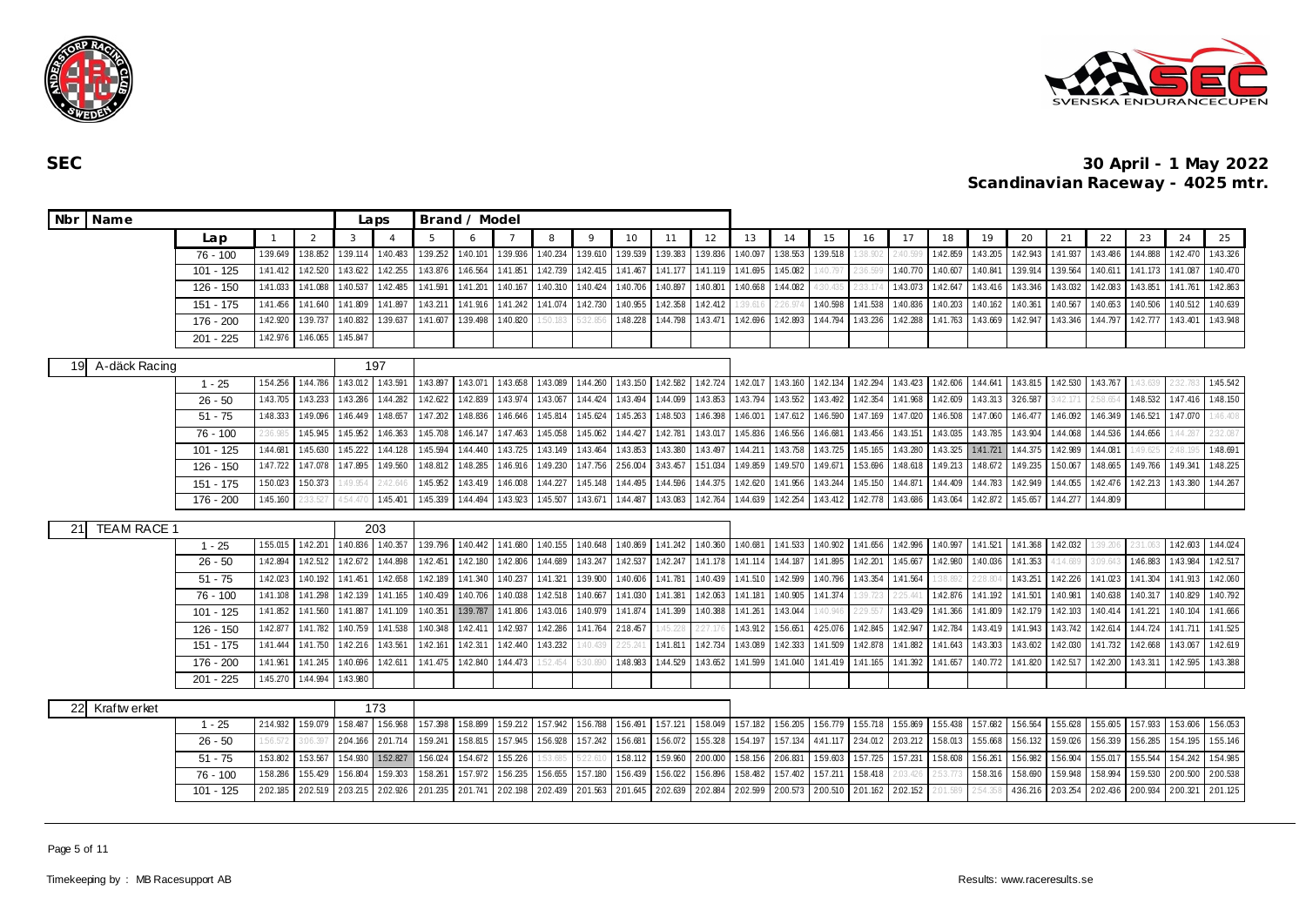



| Nbr Name                 |             |          |          |          | Laps            | Brand / Model |          |          |          |          |          |          |          |          |          |          |          |          |          |          |          |          |          |          |          |          |
|--------------------------|-------------|----------|----------|----------|-----------------|---------------|----------|----------|----------|----------|----------|----------|----------|----------|----------|----------|----------|----------|----------|----------|----------|----------|----------|----------|----------|----------|
|                          | Lap         |          | 2        | 3        | $\overline{4}$  | 5             | 6        |          | 8        | $\circ$  | 10       | 11       | 12       | 13       | 14       | 15       | 16       | 17       | 18       | 19       | 20       | 21       | 22       | 23       | 24       | 25       |
|                          | 76 - 100    | 1:39.649 | 1:38.852 | 1:39.114 | 1:40.483        | 1:39.252      | 1:40.101 | 1:39.936 | 1:40.234 | 1:39.610 | 1:39.539 | 1:39.383 | 1:39.836 | 1:40.097 | 1:38.553 | 1:39.518 | 38.902   | :40.59   | 1:42.859 | 1:43.205 | 1:42.943 | 1:41.937 | 1:43.486 | 1:44.888 | 1:42.470 | 1:43.326 |
|                          | $101 - 125$ | 1:41.412 | 1:42.520 | 1:43.622 | 1:42.255        | 1:43.876      | 1:46.564 | 1:41.851 | 1:42.739 | 1:42.415 | 1:41.467 | 1:41.177 | 1:41.119 | 1:41.695 | 1:45.082 | :40.79   | :36.599  | 1:40.770 | 1:40.607 | 1:40.841 | 1:39.914 | 1:39.564 | 1:40.611 | 1:41.173 | 1:41.087 | 1:40.470 |
|                          | 126 - 150   | 1:41.033 | 1:41.088 | 1:40.537 | 1:42.485        | 1:41.591      | 1:41.201 | 1:40.167 | 1:40.310 | 1:40.424 | 1:40.706 | 1:40.89  | 1:40.80  | 1:40.668 | 1:44.082 | 30.43    |          | 1:43.073 | 1:42.647 | 1:43.416 | 1:43.346 | 1:43.032 | 1:42.083 | 1:43.851 | 1:41.761 | 1:42.863 |
|                          | 151 - 175   | 1:41.456 | 1:41.640 | 1:41.809 | 1:41.897        | 1:43.211      | 1:41.916 | 1:41.242 | 1:41.074 | 1:42.730 | 1:40.955 | 1:42.358 | 1:42.412 | 1:39.61  | :26.97   | 1:40.598 | 1:41.538 | 1:40.836 | 1:40.203 | 1:40.162 | 1:40.361 | 1:40.567 | 1:40.653 | 1:40.506 | 1:40.512 | 1:40.639 |
|                          | 176 - 200   | 1:42.920 | 1:39.737 | 1:40.832 | 1:39.637        | 1:41.607      | 1:39.498 | 1:40.820 | :50.183  | 5:32.85  | 1:48.228 | 1:44.798 | 1:43.471 | 1:42.696 | 1:42.893 | 1:44.794 | 1:43.236 | 1:42.288 | 1:41.763 | 1:43.669 | 1:42.947 | 1:43.346 | 1:44.797 | 1:42.777 | 1:43.401 | 1:43.948 |
|                          | 201 - 225   | 1:42.976 | 1:46.065 | 1:45.847 |                 |               |          |          |          |          |          |          |          |          |          |          |          |          |          |          |          |          |          |          |          |          |
| A-däck Racing<br>19      |             |          |          |          | 197             |               |          |          |          |          |          |          |          |          |          |          |          |          |          |          |          |          |          |          |          |          |
|                          | $1 - 25$    | 154.256  | 1:44.786 | 1:43.012 | 1:43.591        | 1:43.897      | 1:43.071 | 1:43.658 | 1:43.089 | 1:44.260 | 1:43.150 | 1:42.582 | 1:42.724 | 1:42.017 | 1:43.160 | 1:42.134 | 1:42.294 | 1:43.423 | 1:42.606 | 1:44.641 | 1:43.815 | 1:42.530 | 1:43.767 | 43.63    | 232.     | 1:45.542 |
|                          | $26 - 50$   | 1:43.705 | 1:43.233 | 1:43.286 | 1:44.282        | 1:42.622      | 1:42.839 | 1:43.974 | 1:43.067 | 1:44.424 | 1:43.494 | 1:44.099 | 1:43.853 | 1:43.794 | 1:43.552 | 1:43.492 | 1:42.354 | 1:41.968 | 1:42.609 | 1:43.313 | 3:26.587 | :42.17   | 2:58.6   | 1:48.532 | 1:47.416 | 1:48.150 |
|                          | $51 - 75$   | 1:48.333 | 1:49.096 | 1:46.449 | 1:48.657        | 1:47.202      | 1:48.836 | 1:46.646 | 1:45.814 | 1:45.624 | 1:45.263 | 1:48.503 | 1:46.398 | 1:46.001 | 1:47.612 | 1:46.590 | 1:47.169 | 1:47.020 | 1:46.508 | 1:47.060 | 1:46.477 | 1:46.092 | 1:46.349 | 1:46.521 | 1:47.070 | 1:46.408 |
|                          | 76 - 100    | 2:36.985 | 1:45.945 | 1:45.952 | 1:46.363        | 1:45.708      | 1:46.147 | 1:47.463 | 1:45.058 | 1:45.062 | 1:44.427 | 1:42.781 | 1:43.017 | 1:45.836 | 1:46.556 | 1:46.681 | 1:43.456 | 1:43.151 | 1:43.035 | 1:43.785 | 1:43.904 | 1:44.068 | 1:44.536 | 1:44.656 | 1:44.28  | 2:32.087 |
|                          | 101 - 125   | 1:44.681 | 1:45.630 | 1:45.222 | 1:44.128        | 1:45.594      | 1:44.440 | 1:43.725 | 1:43.149 | 1:43.464 | 1:43.853 | 1:43.380 | 1:43.497 | 1:44.211 | 1:43.758 | 1:43.725 | 1:45.165 | 1:43.280 | 1:43.325 | 1:41.721 | 1:44.375 | 1:42.989 | 1:44.081 | :49.62   | 2:48.19! | 1:48.691 |
|                          | 126 - 150   | 1:47.722 | 1:47.078 | 1:47.895 | 1:49.560        | 1:48.812      | 1:48.285 | 1:46.916 | 1:49.230 | 1:47.756 | 2:56.004 | 3:43.457 | 1:51.034 | 1:49.859 | 1:49.570 | 1:49.671 | 1:53.696 | 1:48.618 | 1:49.213 | 1:48.672 | 1:49.235 | 1:50.067 | 1:48.665 | 1:49.766 | 1:49.341 | 1:48.225 |
|                          | 151 - 175   | 1:50.023 | 1:50.373 | :49.954  | 2:42.640        | 1:45.952      | 1:43.419 | 1:46.008 | 1:44.227 | 1:45.148 | 1:44.495 | 1:44.596 | 1:44.375 | 1:42.620 | 1:41.956 | 1:43.244 | 1:45.150 | 1:44.871 | 1:44.409 | 1:44.783 | 1:42.949 | 1:44.055 | 1:42.476 | 1:42.213 | 1:43.380 | 1:44.267 |
|                          | 176 - 200   | 1:45.160 | 33.527   | 4:54.470 | 1:45.401        | 1:45.339      | 1:44.494 | 1:43.923 | 1:45.507 | 1:43.671 | 1:44.487 | 1:43.083 | 1:42.764 | 1:44.639 | 1:42.254 | 1:43.412 | 1:42.778 | 1:43.686 | 1:43.064 | 1:42.872 | 1:45.657 | 1:44.277 | 1:44.809 |          |          |          |
|                          |             |          |          |          |                 |               |          |          |          |          |          |          |          |          |          |          |          |          |          |          |          |          |          |          |          |          |
| <b>TEAM RACE 1</b><br>21 | $1 - 25$    | 1:55.015 | 1:42.201 | 1:40.836 | 203<br>1:40.357 | 1:39.796      | 1:40.442 | 1:41.680 | 1:40.155 | 1:40.648 | 1:40.869 | 1:41.242 | 1:40.360 | 1:40.681 | 1:41.533 | 1:40.902 | 1:41.656 | 1:42.996 | 1:40.997 | 1:41.521 | 1:41.368 | 1:42.032 | :39.206  | :31.06   | 1:42.603 | 1:44.024 |
|                          | $26 - 50$   | 1:42.894 | 1:42.512 | 1:42.672 | 1:44.898        | 1:42.451      | 1:42.180 | 1:42.806 | 1:44.689 | 1:43.247 | 1:42.537 | 1:42.247 | 1:41.178 | 1:41.114 | 1:44.187 | 1:41.895 | 1:42.201 | 1:45.667 | 1:42.980 | 1:40.036 | 1:41.353 | 1:14.689 | 3:09.643 | 1:46.883 | 1:43.984 | 1:42.517 |
|                          | $51 - 75$   | 1:42.023 | 1:40.192 | 1:41.451 | 1:42.658        | 1:42.189      | 1:41.340 | 1:40.237 | 1:41.321 | 1:39.900 | 1:40.606 | 1:41.781 | 1:40.439 | 1:41.510 | 1:42.599 | 1:40.796 | 1:43.354 | 1:41.564 | 38.892   | 2:28.804 | 1:43.251 | 1:42.226 | 1:41.023 | 1:41.304 | 1:41.913 | 1:42.060 |
|                          | 76 - 100    | 1:41.108 | 1:41.298 | 1:42.139 | 1:41.165        | 1:40.439      | 1:40.706 | 1:40.038 | 1:42.518 | 1:40.667 | 1:41.030 | 1:41.381 | 1:42.063 | 1:41.181 | 1:40.905 | 1:41.374 | 39.723   | 25.44    | 1:42.876 | 1:41.192 | 1:41.501 | 1:40.98  | 1:40.638 | 1:40.317 | 1:40.829 | 1:40.792 |
|                          | 101 - 125   | 1:41.852 | 1:41.560 | 1:41.887 | 1:41.109        | 1:40.351      | 1:39.787 | 1:41.806 | 1:43.016 | 1:40.979 | 1:41.874 | 1:41.399 | 1:40.388 | 1:41.261 | 1:43.044 | :40.946  | 29.557   | 1:43.429 | 1:41.366 | 1:41.809 | 1:42.179 | 1:42.103 | 1:40.414 | 1:41.221 | 1:40.104 | 1:41.666 |
|                          | 126 - 150   | 1:42.877 | 1:41.782 | 1:40.759 | 1:41.538        | 1:40.348      | 1:42.411 | 1:42.937 | 1:42.286 | 1:41.764 | 2:18.457 | :45.22   | 227.17   | 1:43.912 | 1:56.651 | 425.076  | 1:42.845 | 1:42.947 | 1:42.784 | 1:43.419 | 1:41.943 | 1:43.742 | 1:42.614 | 1:44.724 | 1:41.711 | 1:41.525 |
|                          | 151 - 175   | 1:41.444 | 1:41.750 | 1:42.216 | 1:43.561        | 1:42.161      | 1:42.31  | 1:42.440 | 1:43.232 | :40.43   | 25.24    | 1:41.81  | 1:42.734 | 1:43.089 | 1:42.333 | 1:41.509 | 1:42.878 | 1:41.882 | 1:41.643 | 1:43.303 | 1:43.602 | 1:42.030 | 1:41.732 | 1:42.668 | 1:43.067 | 1:42.619 |
|                          | 176 - 200   | 1:41.961 | 1:41.245 | 1:40.696 | 1:42.611        | 1:41.475      | 1:42.840 | 1:44.473 |          |          | 1:48.983 | 1:44.529 | 1:43.652 | 1:41.599 | 1:41.040 | 1:41.419 | 1:41.165 | 1:41.392 | 1:41.657 | 1:40.772 | 1:41.820 | 1:42.517 | 1:42.200 | 1:43.311 | 1:42.595 | 1:43.388 |
|                          | $201 - 225$ | 1:45.270 | 1:44.994 | 1:43.980 |                 |               |          |          |          |          |          |          |          |          |          |          |          |          |          |          |          |          |          |          |          |          |
|                          |             |          |          |          |                 |               |          |          |          |          |          |          |          |          |          |          |          |          |          |          |          |          |          |          |          |          |
| 22<br>Kraftw erket       |             |          |          |          | 173             |               |          |          |          |          |          |          |          |          |          |          |          |          |          |          |          |          |          |          |          |          |
|                          | $1 - 25$    | 2:14.932 | 1:59.079 | 1:58.487 | 1:56.968        | 1:57.398      | 1:58.899 | 1:59.212 | 1:57.942 | 1:56.788 | 1:56.491 | 1:57.121 | 158.049  | 1:57.182 | 1:56.205 | 156.779  | 155.718  | 1:55.869 | 1:55.438 | 157.682  | 156.564  | 1:55.628 | 155.605  | 157.933  | 1:53.606 | 156.053  |
|                          | $26 - 50$   | 1:56.572 | 3:06.39  | 2:04.166 | 2:01.714        | 1:59.241      | 1:58.815 | 1:57.945 | 1:56.928 | 1:57.242 | 1:56.681 | 1:56.072 | 1:55.328 | 154.197  | 1:57.134 | 4:41.117 | 2:34.012 | 2:03.212 | 1:58.013 | 155.668  | 1:56.132 | 1:59.026 | 1:56.339 | 1:56.285 | 1:54.195 | 1:55.146 |
|                          | $51 - 75$   | 1:53.802 | 1:53.567 | 1:54.930 | 1:52.827        | 1:56.024      | 1:54.672 | 1:55.226 |          | 5:22     | 1:58.112 | 1:59.960 | 2:00.000 | 1:58.156 | 2.06.83  | 1:59.603 | 157.725  | 1:57.231 | 158.608  | 1:56.261 | 1:56.982 | 1:56.904 | 1:55.017 | 1:55.544 | 1:54.242 | 1:54.985 |
|                          | $76 - 100$  | 1:58.286 | 1:55.429 | 1:56.804 | 1:59.303        | 1:58.261      | 157.972  | 156.235  | 1:56.655 | 1:57.180 | 1:56.439 | 1:56.02  | 1:56.896 | 1:58.482 | 1:57.402 | 1:57.21  | 1:58.418 |          |          | 1:58.31  | 1:58.690 | 1:59.948 | 1:58.994 | 1:59.530 | 2:00.50  | 2:00.538 |
|                          | $101 - 125$ | 2:02.185 | 2:02.519 | 2.03.215 | 2:02.926        | 2:01.235      | 2:01.741 | 2:02.198 | 2:02.439 | 2:01.563 | 2:01.645 | 2:02.639 | 2:02.884 | 2:02.599 | 2:00.573 | 2:00.510 | 2:01.162 | 2:02.152 | :01.589  | 54.351   | 4:36.216 | 2:03.254 | 2:02.436 | 2:00.934 | 2:00.321 | 2:01.125 |

Page 5 of 11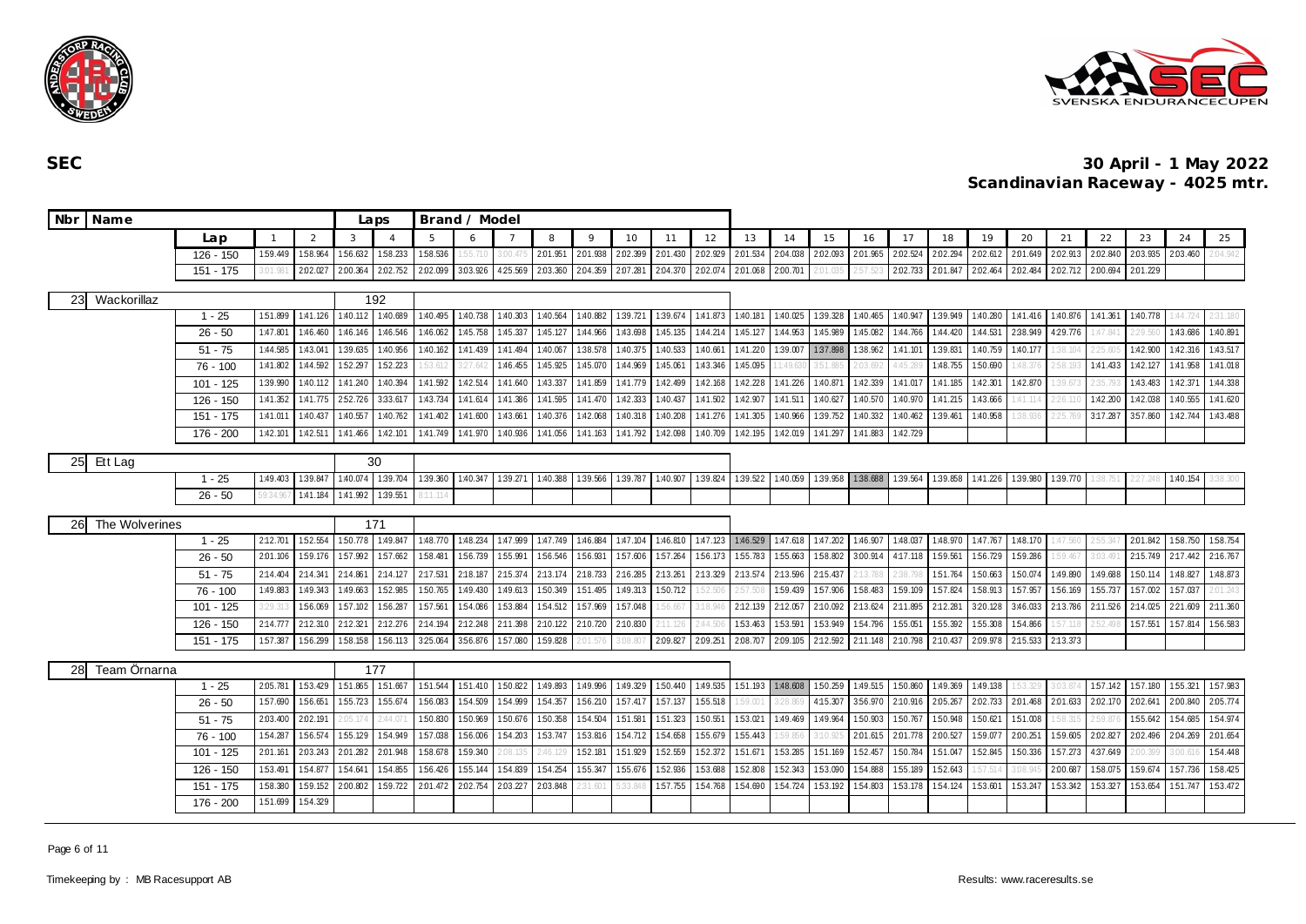



| Nbr Name             |             |                   |                 |                            | Laps           |          | Brand / Model |          |          |          |                   |                   |          |          |                   |          |                   |                   |                            |          |          |          |          |          |                   |          |
|----------------------|-------------|-------------------|-----------------|----------------------------|----------------|----------|---------------|----------|----------|----------|-------------------|-------------------|----------|----------|-------------------|----------|-------------------|-------------------|----------------------------|----------|----------|----------|----------|----------|-------------------|----------|
|                      | Lap         |                   | 2               | 3                          | $\overline{A}$ | 5        | 6             |          | 8        | $\circ$  | 10                | 11                | 12       | 13       | 14                | 15       | 16                | 17                | 18                         | 19       | 20       | 21       | 22       | 23       | 24                | 25       |
|                      | 126 - 150   | 1:59.449          | 1:58.964        | 1:56.632                   | 1:58.233       | 1:58.536 | :55.71        |          | 2:01.951 | 2:01.938 | 2:02.399          | 2.01.430          | 2:02.929 | 2:01.534 | 2:04.038          | 2:02.093 | 2:01.965          | 2:02.524          | 2.02.294                   | 2:02.612 | 2.01.649 | 2:02.913 | 2:02.840 | 2:03.935 | 2:03.460          | :04.942  |
|                      | 151 - 175   | $3.01.98^{\circ}$ | 2:02.027        | 2:00.364                   | 2.02.752       | 2:02.099 | 3.03.926      | 4:25.569 | 2.03.360 | 2:04.359 | 2.07.281          | 2.04.370          | 2:02.074 | 2.01.068 | 2:00.701          | 2:01.03  | 2:57.521          | 2.02.733 2.01.847 |                            | 2:02.464 | 2.02.484 | 2:02.712 | 2:00.694 | 2:01.229 |                   |          |
|                      |             |                   |                 |                            |                |          |               |          |          |          |                   |                   |          |          |                   |          |                   |                   |                            |          |          |          |          |          |                   |          |
| Wackorillaz<br>23    |             |                   |                 |                            | 192            |          |               |          |          |          |                   |                   |          |          |                   |          |                   |                   |                            |          |          |          |          |          |                   |          |
|                      | $1 - 25$    | 1:51.899          |                 | 1:41.126 1:40.112 1:40.689 |                | 1:40.495 | 1:40.738      | 1:40.303 | 1:40.564 | 1:40.882 |                   | 1:39.721 1:39.674 | 1:41.873 |          | 1:40.181 1:40.025 | 1:39.328 | 1:40.465          |                   | 1:40.947 1:39.949          | 1:40.280 | 1:41.416 | 1:40.876 | 1:41.361 | 1:40.778 | :44.724           | 2:31.180 |
|                      | $26 - 50$   | 1:47.801          | 1:46.460        | 1:46.146                   | 1:46.546       | 1:46.062 | 1:45.758      | 1:45.337 | 1:45.127 | 1:44.966 | 1:43.698          | 1:45.135          | 1:44.214 | 1:45.127 | 1:44.953          | 1:45.989 | 1:45.082          | 1:44.766          | 1:44.420                   | 1:44.531 | 2:38.949 | 4:29.776 | 1:47.841 | 2:29.560 | 1:43.686          | 1:40.891 |
|                      | $51 - 75$   | 1:44.585          | 1:43.041        | 1:39.635                   | 1:40.956       | 1:40.162 | 1:41.439      | 1:41.494 | 1:40.067 | 1:38.578 | 1:40.375          | 1:40.533          | 1:40.661 | 1:41.220 | 1:39.007          | 1:37.898 | 1:38.962          | 1:41.101          | 1:39.831                   | 1:40.759 | 1:40.177 | 38.104   |          | 1:42.900 | 1:42.316          | 1:43.517 |
|                      | $76 - 100$  | 1:41.802          | 1:44.592        | 152.297                    | 1:52.223       |          | 3:27.64       | 1:46.455 | 1:45.925 | 1:45.070 | 1:44.969          | 1:45.061          | 1:43.346 | 1:45.095 | 1:49.63           | 3:51.88  | 2:03.69.          | 1:45.2            | 1:48.755                   | 1:50.690 |          | .58.19.  | 1:41.433 | 1:42.127 | 1:41.958          | 1:41.018 |
|                      | $101 - 125$ | 1:39.990          | 1:40.112        | 1:41.240                   | 1:40.394       | 1:41.592 | 1:42.514      | 1:41.640 | 1:43.337 | 1:41.859 | 1:41.779          | 1:42.499          | 1:42.168 | 1:42.228 | 1:41.226          | 1:40.871 | 1:42.339          | 1:41.017          | 1:41.185                   | 1:42.301 | 1:42.870 | 39.67    | 235.     | 1:43.483 | 1:42.371          | 1:44.338 |
|                      | 126 - 150   | 1:41.352          | 1:41.775        | 252.726                    | 3:33.617       | 1:43.734 | 1:41.614      | 1:41.386 | 1:41.595 | 1:41.470 | 1:42.333          | 1:40.437          | 1:41.502 | 1:42.907 | 1:41.511          | 1:40.627 | 1:40.570          | 1:40.970          | 1:41.215                   | 1:43.666 | :41.114  | 26.11    | 1:42.200 | 1:42.038 | 1:40.555          | 1:41.620 |
|                      | 151 - 175   | 1:41.011          | 1:40.437        | 1:40.557                   | 1:40.762       | 1:41.402 | 1:41.600      | 1:43.661 | 1:40.376 | 1:42.068 | 1:40.318          | 1:40.208          | 1:41.276 | 1:41.305 | 1:40.966          | 1:39.752 | 1:40.332          | 1:40.462          | 1:39.461                   | 1:40.958 | :38.936  | 25.76    | 3:17.287 | 3:57.860 | 1:42.744          | 1:43.488 |
|                      | 176 - 200   | 1:42.101          | 1:42.511        | 1:41.466                   | 1:42.101       | 1:41.749 | 1:41.970      | 1:40.936 | 1:41.056 | 1:41.163 | 1:41.792          | 1:42.098          | 1:40.709 | 1:42.195 | 1:42.019          | 1:41.297 | 1:41.883          | 1:42.729          |                            |          |          |          |          |          |                   |          |
| Ett Lag<br><b>25</b> |             |                   |                 |                            | 30             |          |               |          |          |          |                   |                   |          |          |                   |          |                   |                   |                            |          |          |          |          |          |                   |          |
|                      | $1 - 25$    | 1:49.403          | 1:39.847        | 1:40.074                   | 1:39.704       | 1:39.360 | 1:40.347      | 1:39.271 | 1:40.388 | 1:39.566 | 1:39.787 1:40.907 |                   | 1:39.824 |          | 1:39.522 1:40.059 |          | 1:39.958 1:38.688 |                   | 1:39.564 1:39.858 1:41.226 |          | 1:39.980 | 1:39.770 |          |          | 1:40.154          | 3:38.300 |
|                      | $26 - 50$   | 59:34.96          | 1:41.184        | 1:41.992                   | 1:39.551       |          |               |          |          |          |                   |                   |          |          |                   |          |                   |                   |                            |          |          |          |          |          |                   |          |
|                      |             |                   |                 |                            |                |          |               |          |          |          |                   |                   |          |          |                   |          |                   |                   |                            |          |          |          |          |          |                   |          |
| The Wolverines<br>26 |             |                   |                 |                            | 171            |          |               |          |          |          |                   |                   |          |          |                   |          |                   |                   |                            |          |          |          |          |          |                   |          |
|                      | $1 - 25$    | 2:12.701          | 1:52.554        | 1:50.778 1:49.847          |                | 1:48.770 | 1:48.234      | 1:47.999 | 1:47.749 | 1:46.884 | 1:47.104          | 1:46.810          | 1:47.123 |          | 1:46.529 1:47.618 | 1:47.202 | 1:46.907          |                   | 1:48.037 1:48.970          | 1:47.767 | 1:48.170 | :47.560  | 2:55.341 | 2.01.842 | 1:58.750          | 1:58.754 |
|                      | $26 - 50$   | 2:01.106          | 159.176 157.992 |                            | 157.662        | 158.481  | 1:56.739      | 1:55.991 | 156.546  | 1:56.931 | 1:57.606          | 1:57.264          | 156.173  | 1:55.783 | 1:55.663          | 1:58.802 | 3:00.914          | 4:17.118 159.561  |                            | 1:56.729 | 159.286  | 59.467   | 3:03.491 | 2:15.749 | 2:17.442 2:16.767 |          |
|                      | $51 - 75$   | 2:14.404          | 2:14.341        | 2:14.861                   | 2:14.127       | 2:17.531 | 2:18.187      | 2:15.374 | 2:13.174 | 2:18.733 | 2:16.285          | 2:13.261          | 2:13.329 | 2:13.574 | 2:13.596          | 2:15.437 | !:13.781          | 2:38.1            | 151.764                    | 1:50.663 | 1:50.074 | 1:49.890 | 1:49.688 | 1:50.114 | 1:48.827          | 1:48.873 |
|                      | $76 - 100$  | 1:49.883          | 1:49.343        | 1:49.663                   | 152.985        | 1:50.765 | 1:49.430      | 1:49.613 | 1:50.349 | 151.495  | 1:49.313          | 1:50.712          |          |          | 159.439           | 157.906  | 1:58.483          | 1:59.109          | 157.824                    | 1:58.913 | 1:57.957 | 156.169  | 1:55.737 | 1:57.002 | 157.037           | :01.243  |
|                      | $101 - 125$ | 3:29.31           | 1:56.069        | 157.102                    | 1:56.287       | 1:57.561 | 1:54.086      | 1:53.884 | 1:54.512 | 157.969  | 1:57.048          | 56.667            | 3:18.94  | 2:12.139 | 2:12.057          | 2:10.092 | 2:13.624          | 2:11.895          | 2:12.281                   | 3:20.128 | 3:46.033 | 2:13.786 | 2:11.526 | 2:14.025 | 2:21.609          | 2:11.360 |
|                      | 126 - 150   | 2:14.777          | 2:12.310        | 2:12.321                   | 2:12.276       | 2:14.194 | 2:12.248      | 2:11.398 | 2:10.122 | 2:10.720 | 2:10.830          |                   | 244.50   | 1:53.463 | 1:53.591          | 1:53.949 | 1:54.796          | 1:55.051          | 1:55.392                   | 1:55.308 | 1:54.866 | 57.11    |          | 1:57.551 | 1:57.814          | 1:56.583 |
|                      | 151 - 175   | 1:57.387          | 156.299         | 1:58.158                   | 156.113        | 3:25.064 | 356.876       | 1:57.080 | 159.828  | 2:01.576 | 3:08.807          | 2:09.827          | 2:09.251 | 2:08.707 | 2:09.105          | 2:12.592 | 2:11.148          | 2:10.798 2:10.437 |                            | 2:09.978 | 2:15.533 | 2:13.373 |          |          |                   |          |
| 28<br>Team Ornarna   |             |                   |                 |                            | 177            |          |               |          |          |          |                   |                   |          |          |                   |          |                   |                   |                            |          |          |          |          |          |                   |          |
|                      | $1 - 25$    | 2:05.781          | 1:53.429        | 151.865                    | 151.667        | 151.544  | 151.410       | 150.822  | 1:49.893 | 1:49.996 | 1:49.329          | 1:50.440          | 1:49.535 | 1:51.193 | 1:48.608          | 1:50.259 | 1:49.515          |                   | 1:50.860 1:49.369          | 1:49.138 |          | .03.87   | 157.142  | 1:57.180 | 155.321           | 1:57.983 |
|                      | $26 - 50$   | 1:57.690          | 1:56.651        | 1:55.723                   | 1:55.674       | 1:56.083 | 1:54.509      | 1:54.999 | 1:54.357 | 156.210  | 157.417           | 157.137           | 1:55.518 | 1:59.00  | 128.869           | 4:15.307 | 3:56.970          | 2:10.916 2:05.267 |                            | 2.02.733 | 2.01.468 | 2:01.633 | 2:02.170 | 2:02.641 | 2:00.840          | 2.05.774 |
|                      | $51 - 75$   | 2:03.400          | 2:02.191        |                            | 44.07          | 1:50.830 | 1:50.969      | 150.676  | 1:50.358 | 1:54.504 | 1:51.581          | 151.323           | 1:50.551 | 153.021  | 1:49.469          | 1:49.964 | 1:50.903          | 1:50.767          | 1:50.948                   | 1:50.621 | 1:51.008 | :58.31   |          | 1:55.642 | 1:54.685          | 1:54.974 |
|                      | $76 - 100$  | 154.287           | 1:56.574        | 1:55.129                   | 1:54.949       | 1:57.038 | 1:56.006      | 154.203  | 1:53.747 | 153.816  | 1:54.712          | 154.658           | 1:55.679 | 1:55.443 | 59.85             | 3:10.    | 2.01.615          | 2.01.778          | 2:00.527                   | 1:59.07  | 2:00.251 | 1:59.605 | 2:02.827 | 2:02.496 | 2:04.269          | 2:01.654 |
|                      | 101 - 125   | 2:01.161          | 2.03.243        | 2:01.282                   | 2:01.948       | 1:58.678 | 1:59.340      | :08.135  | 2:46.12  | 1:52.181 | 1:51.929          | 152.559           | 152.372  | 151.671  | 1:53.285          | 151.169  | 1:52.457          | 1:50.784          | 151.047                    | 1:52.845 | 150.336  | 157.273  | 4:37.649 | :00.399  | 3:00.6            | 154.448  |
|                      | 126 - 150   | 153.491           | 1:54.877        | 154.641                    | 1:54.855       | 1:56.426 | 1:55.144      | 1:54.839 | 1:54.254 | 1:55.347 | 1:55.676          | 1:52.936          | 153.688  | 152.808  | 1:52.343          | 153.090  | 1:54.888          | 1:55.189          | 152.643                    | 57.51    | :08.94!  | 2:00.687 | 1:58.075 | 1:59.674 | 157.736           | 1:58.425 |
|                      | 151 - 175   | 1:58.380          | 1:59.152        | 2:00.802                   | 1:59.722       | 2.01.472 | 2:02.754      | 2.03.227 | 2:03.848 | !:31.601 |                   | 1.57.755          | 1:54.768 | 1:54.690 | 1:54.724          | 1:53.192 | 1:54.803          | 1:53.178          | 1:54.124                   | 153.601  | 1:53.247 | 1:53.342 | 153.327  | 1:53.654 | 1:51.747          | 153.472  |
|                      | 176 - 200   | 1:51.699          | 1:54.329        |                            |                |          |               |          |          |          |                   |                   |          |          |                   |          |                   |                   |                            |          |          |          |          |          |                   |          |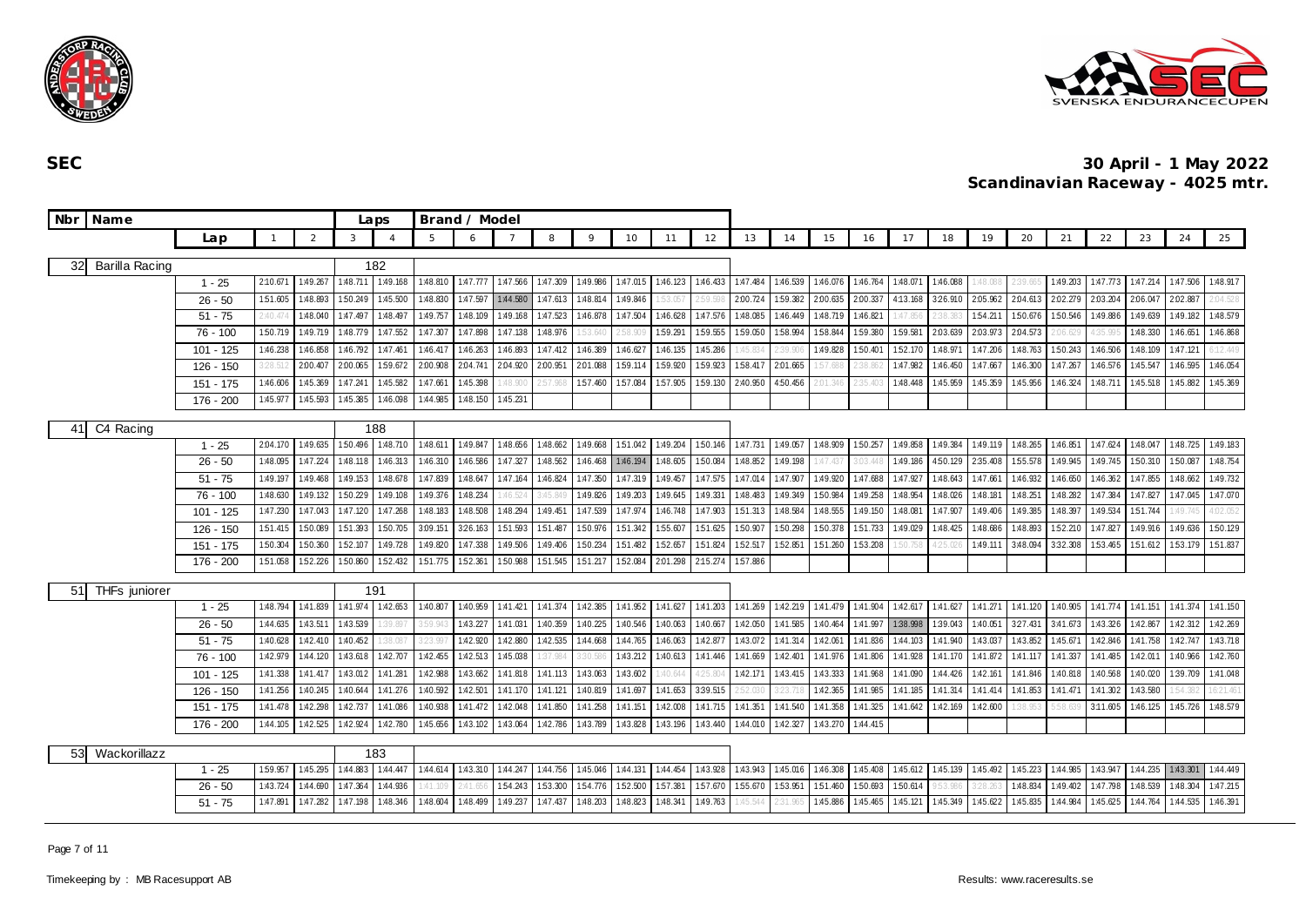



|    | Nbr   Name     |             |                |          |          | Laps            |          | Brand / Model |          |          |          |          |          |          |          |          |          |          |          |          |                   |          |          |          |          |          |          |
|----|----------------|-------------|----------------|----------|----------|-----------------|----------|---------------|----------|----------|----------|----------|----------|----------|----------|----------|----------|----------|----------|----------|-------------------|----------|----------|----------|----------|----------|----------|
|    |                | Lap         | $\overline{1}$ | 2        | 3        |                 | 5        | 6             |          | 8        | $\circ$  | 10       | 11       | 12       | 13       | 14       | 15       | 16       | 17       | 18       | 19                | 20       | 21       | 22       | 23       | 24       | 25       |
| 32 | Barilla Racing |             |                |          |          | 182             |          |               |          |          |          |          |          |          |          |          |          |          |          |          |                   |          |          |          |          |          |          |
|    |                | $1 - 25$    | 2:10.671       | 1:49.26  | 1:48.711 | 1:49.168        | 1:48.810 | 1:47.777      | 1:47.566 | 1:47.309 | 1:49.986 | 1:47.015 | 1:46.123 | 1:46.433 | 1:47.484 | 1:46.539 | 1:46.076 | 1:46.764 | 1:48.071 | 1:46.088 | 1:48.088          | 2:39.66! | 1:49.203 | 1:47.773 | 1:47.214 | 1:47.506 | 1:48.917 |
|    |                | $26 - 50$   | 1:51.605       | 1:48.893 | 1:50.249 | 1:45.500        | 1:48.830 | 1:47.597      | 1:44.580 | 1:47.613 | 1:48.814 | 1:49.846 | 53.057   |          | 2:00.724 | 159.382  | 2:00.635 | 2:00.337 | 4:13.168 | 3:26.910 | 2:05.962          | 2:04.613 | 2:02.279 | 2:03.204 | 2:06.047 | 2.02.887 | 104.528  |
|    |                | $51 - 75$   | 2:40.474       | 1:48.040 | 1:47.497 | 1:48.497        | 1:49.757 | 1:48.109      | 1:49.168 | 1:47.523 | 1:46.878 | 1:47.504 | 1:46.628 | 1:47.576 | 1:48.085 | 1:46.449 | 1:48.719 | 1:46.821 | 1:47.85  | 2:38.381 | 1:54.211          | 1:50.676 | 1:50.546 | 1:49.886 | 1:49.639 | 1:49.182 | 1:48.579 |
|    |                | $76 - 100$  | 1:50.719       | 1:49.719 | 1:48.779 | 1:47.552        | 1:47.307 | 1:47.898      | 1:47.138 | 1:48.976 | 53.640   | 2:58.90  | 1:59.291 | 1:59.555 | 1:59.050 | 1:58.994 | 1:58.844 | 1:59.380 | 1:59.581 | 2:03.639 | 2.03.973          | 2:04.573 | .06.629  | :35.995  | 1:48.330 | 1:46.651 | 1:46.868 |
|    |                | $101 - 125$ | 1:46.238       | 1:46.858 | 1:46.792 | 1:47.461        | 1:46.417 | 1:46.263      | 1:46.893 | 1:47.412 | 1:46.389 | 1:46.627 | 1:46.135 | 1:45.286 | 1:45.834 | $-39.90$ | 1:49.828 | 1:50.401 | 152.170  | 1:48.971 | 1:47.206          | 1:48.763 | 1:50.243 | 1:46.506 | 1:48.109 | 1:47.121 | 12.449   |
|    |                | 126 - 150   | 3:28.512       | 2:00.40  | 2:00.065 | 1:59.672        | 2:00.908 | 2:04.741      | 2:04.920 | 2:00.951 | 2.01.088 | 1:59.114 | 1:59.920 | 1:59.923 | 1:58.417 | 2:01.665 | 1:57.688 | 2:38.862 | 1:47.982 | 1:46.450 | 1:47.667          | 1:46.300 | 1:47.267 | 1:46.576 | 1:45.547 | 1:46.595 | 1:46.054 |
|    |                | 151 - 175   | 1:46.606       | 1:45.369 | 1:47.241 | 1:45.582        | 1:47.661 | 1:45.398      | :48.900  | 2:57.961 | 1:57.460 | 1:57.084 | 1:57.905 | 1:59.130 | 2:40.950 | 4:50.456 |          | 2:35.40: | 1:48.448 | 1:45.959 | 1:45.359          | 1:45.956 | 1:46.324 | 1:48.711 | 1:45.518 | 1:45.882 | 1:45.369 |
|    |                | 176 - 200   | 1:45.977       | 1:45.593 | 1:45.385 | 1:46.098        | 1:44.985 | 1:48.150      | 1:45.231 |          |          |          |          |          |          |          |          |          |          |          |                   |          |          |          |          |          |          |
|    | C4 Racing      |             |                |          |          | 188             |          |               |          |          |          |          |          |          |          |          |          |          |          |          |                   |          |          |          |          |          |          |
| 41 |                | $1 - 25$    | 2:04.170       | 1:49.635 | 1:50.496 | 1:48.710        | 1:48.611 | 1:49.847      | 1:48.656 | 1:48.662 | 1:49.668 | 151.042  | 1:49.204 | 1:50.146 | 1:47.731 | 1:49.057 | 1:48.909 | 1:50.257 | 1:49.858 | 1:49.384 | 1:49.119          | 1:48.265 | 1:46.851 | 1:47.624 | 1:48.047 | 1:48.725 | 1:49.183 |
|    |                | $26 - 50$   | 1:48.095       | 1:47.224 | 1:48.118 | 1:46.313        | 1:46.310 | 1:46.586      | 1:47.327 | 1:48.562 | 1:46.468 | 1:46.194 | 1:48.605 | 1:50.084 | 1:48.852 | 1:49.198 | 1:47.43  | 3:03.441 | 1:49.186 | 4:50.129 | 2:35.408          | 1:55.578 | 1:49.945 | 1:49.745 | 1:50.310 | 1:50.087 | 1:48.754 |
|    |                | $51 - 75$   | 1:49.197       | 1:49.468 | 1:49.153 | 1:48.678        | 1:47.839 | 1:48.647      | 1:47.164 | 1:46.824 | 1:47.350 | 1:47.319 | 1:49.457 | 1:47.575 | 1:47.014 | 1:47.907 | 1:49.920 | 1:47.688 | 1:47.927 | 1:48.643 | 1:47.661          | 1:46.932 | 1:46.650 | 1:46.362 | 1:47.855 | 1:48.662 | 1:49.732 |
|    |                | 76 - 100    | 1:48.630       | 1:49.132 | 1:50.229 | 1:49.108        | 1:49.376 | 1:48.234      | :46.524  | 3:45.84  | 1:49.826 | 1:49.203 | 1:49.645 | 1:49.331 | 1:48.483 | 1:49.349 | 1:50.984 | 1:49.258 | 1:48.954 | 1:48.026 | 1:48.181          | 1:48.251 | 1:48.282 | 1:47.384 | 1:47.827 | 1:47.045 | 1:47.070 |
|    |                | 101 - 125   | 1:47.230       | 1:47.043 | 1:47.120 | 1:47.268        | 1:48.183 | 1:48.508      | 1:48.294 | 1:49.451 | 1:47.539 | 1:47.974 | 1:46.748 | 1:47.903 | 1:51.313 | 1:48.584 | 1:48.555 | 1:49.150 | 1:48.081 | 1:47.907 | 1:49.406          | 1:49.385 | 1:48.397 | 1:49.534 | 151.744  | :49.745  | 4:02.052 |
|    |                | $126 - 150$ | 151.415        | 1:50.089 | 1.51.393 | 1:50.705        | 3:09.151 | 326.163       | 1:51.593 | 151.487  | 1:50.976 | 1:51.342 | 155.607  | 1:51.625 | 1:50.907 | 1:50.298 | 1:50.378 | 1:51.733 | 1:49.029 | 1:48.425 | 1:48.686          | 1:48.893 | 1:52.210 | 1:47.827 | 1:49.916 | 1:49.636 | 1:50.129 |
|    |                | $151 - 175$ | 1:50.304       | 1:50.360 | 1:52.107 | 1:49.728        | 1:49.820 | 1:47.338      | 1:49.506 | 1:49.406 | 150.234  | 151.482  | 1:52.657 | 1:51.824 | 1:52.517 | 152.851  | 1:51.260 | 1:53.208 |          | 125.02   | 1:49.111          | 3:48.094 | 3:32.308 | 1:53.465 | 1:51.612 | 1:53.179 | 1:51.837 |
|    |                | 176 - 200   | 1:51.058       | 1:52.226 | 1:50.860 | 1:52.432        | 151.775  | 1:52.361      | 1:50.988 | 151.545  | 1:51.217 | 152.084  | 2:01.298 | 2:15.274 | 1:57.886 |          |          |          |          |          |                   |          |          |          |          |          |          |
| 51 | THFs juniorer  |             |                |          |          | 191             |          |               |          |          |          |          |          |          |          |          |          |          |          |          |                   |          |          |          |          |          |          |
|    |                | $1 - 25$    | 1:48.794       | 1:41.839 | 1:41.974 | 1:42.653        | 1:40.807 | 1:40.959      | 1:41.421 | 1:41.374 | 1:42.385 | 1:41.952 | 1:41.627 | 1:41.203 | 1:41.269 | 1:42.219 | 1:41.479 | 1:41.904 | 1:42.617 | 1:41.627 | 1:41.271          | 1:41.120 | 1:40.905 | 1:41.774 | 1:41.151 | 1:41.374 | 1:41.150 |
|    |                | $26 - 50$   | 1:44.635       | 1:43.51  | 1:43.539 | 39.89           | 3:59.943 | 1:43.227      | 1:41.031 | 1:40.359 | 1:40.225 | 1:40.546 | 1:40.063 | 1:40.667 | 1:42.050 | 1:41.585 | 1:40.464 | 1:41.997 | 1:38.998 | 1:39.043 | 1:40.051          | 327.431  | 3:41.673 | 1:43.326 | 1:42.867 | 1:42.312 | 1:42.269 |
|    |                | $51 - 75$   | 1:40.628       | 1:42.410 | 1:40.452 | 38.087          | 3:23.997 | 1:42.920      | 1:42.880 | 1:42.535 | 1:44.668 | 1:44.765 | 1:46.063 | 1:42.877 | 1:43.072 | 1:41.314 | 1:42.061 | 1:41.836 | 1:44.103 | 1:41.940 | 1:43.037          | 1:43.852 | 1:45.671 | 1:42.846 | 1:41.758 | 1:42.747 | 1:43.718 |
|    |                | 76 - 100    | 1:42.979       | 1:44.120 | 1:43.618 | 1:42.707        | 1:42.455 | 1:42.513      | 1:45.038 | 37.984   | 3:30.586 | 1:43.212 | 1:40.613 | 1:41.446 | 1:41.669 | 1:42.401 | 1:41.976 | 1:41.806 | 1:41.928 | 1:41.170 | 1:41.872          | 1:41.117 | 1:41.337 | 1:41.485 | 1:42.011 | 1:40.966 | 1:42.760 |
|    |                | $101 - 125$ | 1:41.338       | 1:41.41  | 1:43.012 | 1:41.28         | 1:42.988 | 1:43.662      | 1:41.818 | 1:41.113 | 1:43.063 | 1:43.602 | 40.644   | 25.804   | 1:42.171 | 1:43.415 | 1:43.333 | 1:41.968 | 1:41.090 | 1:44.426 | 1:42.161          | 1:41.846 | 1:40.818 | 1:40.568 | 1:40.020 | 1:39.709 | 1:41.048 |
|    |                | $126 - 150$ | 1:41.256       | 1:40.245 | 1:40.644 | 1:41.276        | 1:40.592 | 1:42.501      | 1:41.170 | 1:41.121 | 1:40.819 | 1:41.697 | 1:41.653 | 3:39.515 |          | $-23.71$ | 1:42.365 | 1:41.985 | 1:41.185 | 1:41.314 | 1:41.414          | 1:41.853 | 1:41.47  | 1:41.302 | 1:43.580 |          | 6:21.461 |
|    |                | 151 - 175   | 1:41.478       | 1:42.298 | 1:42.737 | 1:41.086        | 1:40.938 | 1:41.472      | 1:42.048 | 1:41.850 | 1:41.258 | 1:41.151 | 1:42.008 | 1:41.715 | 1:41.351 | 1:41.540 | 1:41.358 | 1:41.325 | 1:41.642 | 1:42.169 | 1:42.600          | 38.953   |          | 3:11.605 | 1:46.125 | 1:45.726 | 1:48.579 |
|    |                | 176 - 200   | 1:44.105       | 1:42.525 | 1:42.924 | 1:42.780        | 1:45.656 | 1:43.102      | 1:43.064 | 1:42.786 | 1:43.789 | 1:43.828 | 1:43.196 | 1:43.440 | 1:44.010 | 1:42.327 | 1:43.270 | 1:44.415 |          |          |                   |          |          |          |          |          |          |
|    |                |             |                |          |          |                 |          |               |          |          |          |          |          |          |          |          |          |          |          |          |                   |          |          |          |          |          |          |
| 53 | Wackorillazz   | $1 - 25$    | 1:59.957       | 1:45.295 | 1:44.883 | 183<br>1:44.447 | 1:44.614 | 1:43.310      | 1:44.247 | 1:44.756 | 1:45.046 | 1:44.131 | 1:44.454 | 1:43.928 | 1:43.943 | 1:45.016 | 1:46.308 | 1:45.408 | 1:45.612 |          | 1:45.139 1:45.492 | 1:45.223 | 1:44.985 | 1:43.947 | 1:44.235 | 1:43.301 | 1:44.449 |
|    |                | $26 - 50$   | 1:43.724       | 1:44.690 | 1:47.364 | 1:44.936        | :41.109  | 2:41.65       | 1:54.243 | 1:53.300 | 154.776  | 1:52.500 | 1:57.381 | 157.670  | 1:55.670 | 153.951  | 1:51.460 | 1:50.693 | 1:50.614 | 9.53.98  |                   | 1:48.834 | 1:49.402 | 1:47.798 | 1:48.539 | 1:48.304 | 1:47.215 |
|    |                | $51 - 75$   | 1:47.891       | 1:47.282 | 1:47.198 | 1:48.346        | 1:48.604 | 1:48.499      | 1:49.237 | 1:47.437 | 1:48.203 | 1:48.823 | 1:48.341 | 1:49.763 | 1:45.544 | 2:31.96! | 1:45.886 | 1:45.465 | 1:45.121 | 1:45.349 | 1:45.622          | 1:45.835 | 1:44.984 | 1:45.625 | 1:44.764 | 1:44.535 | 1:46.391 |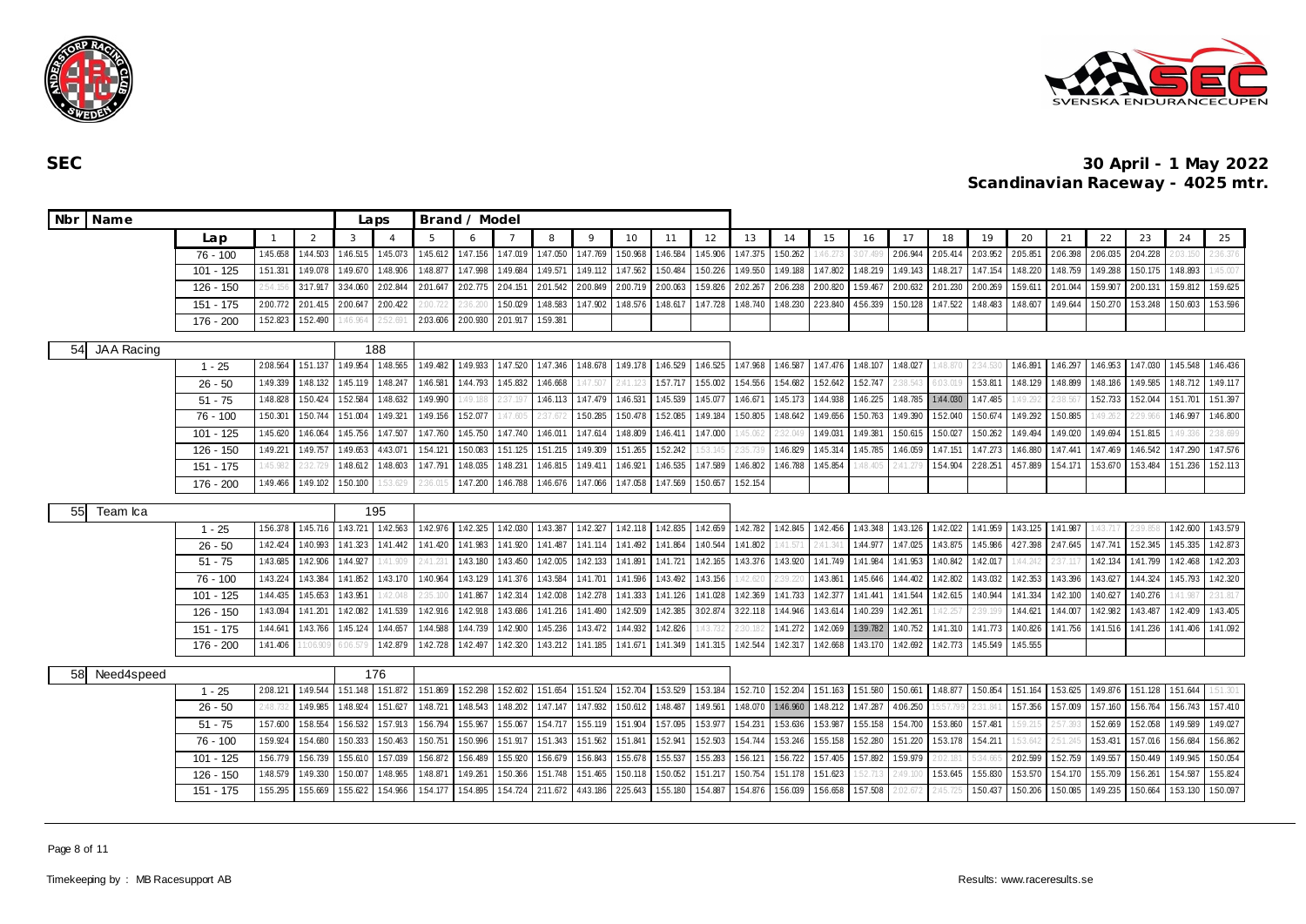



| Nbr Name          |             |              |          |          | Laps                   |          | Brand / Model |          |          |          |          |          |          |          |          |                   |           |          |                     |          |          |          |          |          |          |          |
|-------------------|-------------|--------------|----------|----------|------------------------|----------|---------------|----------|----------|----------|----------|----------|----------|----------|----------|-------------------|-----------|----------|---------------------|----------|----------|----------|----------|----------|----------|----------|
|                   | Lap         | $\mathbf{1}$ | 2        | 3        | $\boldsymbol{\Lambda}$ | 5        | 6             |          | 8        | $\circ$  | 10       | 11       | 12       | 13       | 14       | 15                | 16        | 17       | 18                  | 19       | 20       | 21       | 22       | 23       | 24       | 25       |
|                   | 76 - 100    | 1:45.658     | 1:44.503 | 1:46.515 | 1:45.073               | 1:45.612 | 1:47.156      | 1:47.019 | 1:47.050 | 1:47.769 | 1:50.968 | 1:46.584 | 1:45.906 | 1:47.375 | 1:50.262 | 1:46.2            | l (17. 49 | 2.06.94  | 2:05.414            | 2:03.952 | 2:05.851 | 2:06.398 | 2:06.035 | 2:04.228 | 203      | 36.376   |
|                   | 101 - 125   | 1:51.331     | 1:49.07  | 1:49.670 | 1:48.906               | 1:48.877 | 1:47.998      | 1:49.684 | 1:49.571 | 1:49.112 | 1:47.562 | 1:50.484 | 1:50.226 | 1:49.550 | 1:49.188 | 1:47.802          | 1:48.219  | 1:49.143 | 1:48.217            | 1:47.154 | 1:48.220 | 1:48.759 | 1:49.288 | 1:50.175 | 1:48.893 | :45.00   |
|                   | 126 - 150   | 2:54.15      | 3:17.91  | 3:34.060 | 2:02.844               | 2.01.647 | 2:02.775      | 2:04.151 | 2:01.542 | 2:00.849 | 2:00.719 | 2:00.063 | 1:59.826 | 2:02.267 | 2:06.238 | 2:00.820          | 1:59.467  | 2:00.632 | 2:01.230            | 2:00.269 | 1:59.611 | 2:01.044 | 1:59.907 | 2:00.131 | 1:59.812 | 1:59.625 |
|                   | 151 - 175   | 2:00.772     | 2.01.41  | 2:00.647 | 2:00.422               | :00.722  | 36.20         | 1:50.029 | 1:48.583 | 1:47.902 | 1:48.576 | 1:48.617 | 1:47.728 | 1:48.740 | 1:48.230 | 2:23.840          | 4:56.339  | 1:50.128 | 1:47.522            | 1:48.483 | 1:48.607 | 1:49.644 | 1:50.270 | 1:53.248 | 1:50.603 | 1:53.596 |
|                   | 176 - 200   | 1:52.823     | 1:52.490 | :46.964  | .52.69                 | 2.03.606 | 2:00.930      | 2:01.917 | 1:59.381 |          |          |          |          |          |          |                   |           |          |                     |          |          |          |          |          |          |          |
| JAA Racing<br>54  |             |              |          |          | 188                    |          |               |          |          |          |          |          |          |          |          |                   |           |          |                     |          |          |          |          |          |          |          |
|                   | $1 - 25$    | 2:08.564     | 151.137  | 1:49.954 | 1:48.565               | 1:49.482 | 1:49.933      | 1:47.520 | 1:47.346 | 1:48.678 | 1:49.178 | 1:46.529 | 1:46.525 | 1:47.968 | 1:46.587 | 1:47.476 1:48.107 |           | 1:48.027 | 48.870              | 34.530   | 1:46.891 | 1:46.297 | 1:46.953 | 1:47.030 | 1:45.548 | 1:46.436 |
|                   | $26 - 50$   | 1:49.339     | 1:48.132 | 1:45.119 | 1:48.24                | 1:46.58  | 1:44.793      | 1:45.832 | 1:46.668 |          |          | 157.717  | 1:55.002 | 1:54.556 | 1:54.682 | 152.642           | 1:52.747  | 38.54    |                     | 1.53.81  | 1:48.129 | 1:48.899 | 1:48.186 | 1:49.585 | 1:48.712 | 1:49.117 |
|                   | $51 - 75$   | 1:48.828     | 1:50.42  | 1:52.584 | 1:48.632               | 1:49.990 | :49.18        |          | 1:46.113 | 1:47.479 | 1:46.531 | 1:45.539 | 1:45.077 | 1:46.67  | 1:45.173 | 1:44.938          | 1:46.225  | 1:48.785 | 1:44.030            | 1:47.485 |          |          | 1:52.733 | 1:52.044 | 151.701  | 1:51.397 |
|                   | 76 - 100    | 1:50.301     | 1:50.74  | 1:51.004 | 1:49.321               | 1:49.156 | 1:52.077      | 1:47.605 | 37.67    | 150.285  | 1:50.478 | 152.085  | 1:49.184 | 1:50.805 | 1:48.642 | 1:49.656          | 1:50.763  | 1:49.390 | 1:52.040            | 1:50.674 | 1:49.292 | 1:50.885 |          | $-29.96$ | 1:46.997 | 1:46.800 |
|                   | $101 - 125$ | 1:45.620     | 1:46.064 | 1:45.756 | 1:47.507               | 1:47.760 | 1:45.750      | 1:47.740 | 1:46.011 | 1:47.614 | 1:48.809 | 1:46.411 | 1:47.000 | 1:45.06  | 2:32.04  | 1:49.031          | 1:49.381  | 1:50.615 | 1:50.027            | 1:50.262 | 1:49.494 | 1:49.020 | 1:49.694 | 151.815  | 1:49.33  | :38.699  |
|                   | $126 - 150$ | 1:49.221     | 1:49.757 | 1:49.653 | 4:43.071               | 1:54.121 | 1:50.083      | 1:51.125 | 1:51.215 | 1:49.309 | 1:51.265 | 1:52.242 | .53.14!  | 2:35.7   | 1:46.829 | 1:45.314          | 1:45.785  | 1:46.059 | 1:47.151            | 1:47.273 | 1:46.880 | 1:47.441 | 1:47.469 | 1:46.542 | 1:47.290 | 1:47.576 |
|                   | $151 - 175$ | 1:45.982     | 2:32.72  | 1:48.612 | 1:48.603               | 1:47.791 | 1:48.035      | 1:48.231 | 1:46.815 | 1:49.411 | 1:46.921 | 1:46.535 | 1:47.589 | 1:46.802 | 1:46.788 | 1:45.854          | :48.405   | 2:41.27  | 1:54.904            | 2:28.251 | 4:57.889 | 1:54.171 | 1:53.670 | 1:53.484 | 151.236  | 1:52.113 |
|                   | 176 - 200   | 1:49.466     | 1:49.102 | 1:50.100 | 53.62                  |          | 1:47.200      | 1:46.788 | 1:46.676 | 1:47.066 | 1:47.058 | 1:47.569 | 1:50.657 | 1:52.154 |          |                   |           |          |                     |          |          |          |          |          |          |          |
| 55I<br>Team Ica   |             |              |          |          | 195                    |          |               |          |          |          |          |          |          |          |          |                   |           |          |                     |          |          |          |          |          |          |          |
|                   | $1 - 25$    | 156.378      | 1:45.716 | 1:43.721 | 1:42.563               | 1:42.976 | 1:42.325      | 1:42.030 | 1:43.387 | 1:42.327 | 1:42.118 | 1:42.835 | 1:42.659 | 1:42.782 | 1:42.845 | 1:42.456          | 1:43.348  | 1:43.126 | 1:42.022            | 1:41.959 | 1:43.125 | 1:41.987 |          |          | 1:42.600 | 1:43.579 |
|                   | $26 - 50$   | 1:42.424     | 1:40.993 | 1:41.323 | 1:41.442               | 1:41.420 | 1:41.983      | 1:41.920 | 1:41.487 | 1:41.114 | 1:41.492 | 1:41.864 | 1:40.544 | 1:41.802 | :41.57   | 2:41.3            | 1:44.977  | 1:47.025 | 1:43.875            | 1:45.986 | 4:27.398 | 2:47.645 | 1:47.741 | 1:52.345 | 1:45.335 | 1:42.873 |
|                   | $51 - 75$   | 1:43.685     | 1:42.906 | 1:44.927 | 41.90                  | 2:41.23  | 1:43.180      | 1:43.450 | 1:42.005 | 1:42.133 | 1:41.89  | 1:41.721 | 1:42.165 | 1:43.376 | 1:43.920 | 1:41.749          | 1:41.984  | 1:41.953 | 1:40.842            | 1:42.017 |          |          | 1:42.134 | 1:41.799 | 1:42.468 | 1:42.203 |
|                   | 76 - 100    | 1:43.224     | 1:43.384 | 1:41.852 | 1:43.170               | 1:40.964 | 1:43.129      | 1:41.376 | 1:43.584 | 1:41.701 | 1:41.596 | 1:43.492 | 1:43.156 | :42.62   | 2:39.22  | 1:43.86           | 1:45.646  | 1:44.402 | 1:42.802            | 1:43.032 | 1:42.353 | 1:43.396 | 1:43.627 | 1:44.324 | 1:45.793 | 1:42.320 |
|                   | $101 - 125$ | 1:44.435     | 1:45.653 | 1:43.951 | :42.04                 | 2:35.10  | 1:41.867      | 1:42.314 | 1:42.008 | 1:42.278 | 1:41.333 | 1:41.126 | 1:41.028 | 1:42.369 | 1:41.733 | 1:42.377          | 1:41.441  | 1:41.544 | 1:42.615            | 1:40.944 | 1:41.334 | 1:42.100 | 1:40.627 | 1:40.276 | 1:41.987 | 31.817   |
|                   | $126 - 150$ | 1:43.094     | 1:41.201 | 1:42.082 | 1:41.539               | 1:42.916 | 1:42.918      | 1:43.686 | 1:41.216 | 1:41.490 | 1:42.509 | 1:42.385 | 3:02.874 | 3:22.118 | 1:44.946 | 1:43.614          | 1:40.239  | 1:42.261 | :42.257             | :39.19   | 1:44.621 | 1:44.007 | 1:42.982 | 1:43.487 | 1:42.409 | 1:43.405 |
|                   | 151 - 175   | 1:44.641     | 1:43.766 | 1:45.124 | 1:44.657               | 1:44.588 | 1:44.739      | 1:42.900 | 1:45.236 | 1:43.472 | 1:44.932 | 1:42.826 | :43.73   | !30.     | 1:41.272 | 1:42.069          | 1:39.782  | 1:40.752 | 1:41.310            | 1:41.773 | 1:40.826 | 1:41.756 | 1:41.516 | 1:41.236 | 1:41.406 | 1:41.092 |
|                   | $176 - 200$ | 1:41.406     | 1:06.90  | 06.579   | 1:42.879               | 1:42.728 | 1:42.497      | 1:42.320 | 1:43.212 | 1:41.185 | 1:41.671 | 1:41.349 | 1:41.315 | 1:42.544 | 1:42.317 | 1:42.668          | 1:43.170  | 1:42.692 | 1:42.773            | 1:45.549 | 1:45.555 |          |          |          |          |          |
| Need4speed<br>58. |             |              |          |          | 176                    |          |               |          |          |          |          |          |          |          |          |                   |           |          |                     |          |          |          |          |          |          |          |
|                   | $1 - 25$    | 2:08.121     | 1:49.544 | 151.148  | 151.872                | 151.869  | 1:52.298      | 1:52.602 | 151.654  | 151.524  | 1:52.704 | 153.529  | 153.184  | 1:52.710 | 1:52.204 | 151.163 151.580   |           | 1:50.661 | 1:48.877            | 1:50.854 | 151.164  | 1:53.625 | 1:49.876 | 1:51.128 | 151.644  | 51.301   |
|                   | $26 - 50$   | 2:48.73      | 1:49.985 | 1:48.924 | 1:51.627               | 1:48.721 | 1:48.543      | 1:48.202 | 1:47.147 | 1:47.932 | 1:50.612 | 1:48.487 | 1:49.561 | 1:48.07  | 1:46.960 | 1:48.212          | 1:47.287  | 4:06.250 |                     | 31.84    | 157.356  | 1:57.009 | 1:57.160 | 1:56.764 | 1:56.743 | 1:57.410 |
|                   | $51 - 75$   | 1:57.600     | 1:58.554 | 1:56.532 | 157.913                | 1:56.794 | 1:55.967      | 1:55.067 | 1:54.717 | 1:55.119 | 1:51.904 | 157.095  | 153.977  | 1.54.23  | 1:53.636 | 1:53.987          | 1:55.158  | 1:54.700 | 1.53.860            | 1:57.481 | .59.21   | 2:57.39  | 152.669  | 1:52.058 | 1:49.589 | 1:49.027 |
|                   | $76 - 100$  | 1:59.924     | 1:54.680 | 1:50.333 | 1:50.463               | 1:50.751 | 1:50.996      | 1:51.917 | 1:51.343 | 1:51.562 | 1:51.841 | 1:52.941 | 1:52.503 | 1:54.744 | 1:53.246 | 1:55.158          | 1:52.280  | 1:51.220 | 153.178             | 1:54.211 | 1:53.642 | 2:51.24  | 1:53.431 | 157.016  | 1:56.684 | 1:56.862 |
|                   | $101 - 125$ | 1:56.779     | 1:56.739 | 155.610  | 1:57.039               | 1:56.872 | 1:56.489      | 1:55.920 | 1:56.679 | 156.843  | 1:55.678 | 1:55.537 | 155.283  | 1:56.121 | 1:56.722 | 1:57.405          | 1:57.892  | 1:59.979 | .02.18 <sup>°</sup> | :34.665  | 2:02.599 | 1:52.759 | 1:49.557 | 1:50.449 | 1:49.945 | 1:50.054 |
|                   | 126 - 150   | 1:48.579     | 1:49.330 | 1:50.007 | 1:48.965               | 1:48.871 | 1:49.261      | 1:50.366 | 1:51.748 | 1:51.465 | 1:50.118 | 1:50.052 | 1:51.217 | 1:50.754 | 1:51.178 | 151.623           |           | :49.10   | 1:53.645            | 1:55.830 | 153.570  | 1:54.170 | 1:55.709 | 1:56.261 | 1:54.587 | 1:55.824 |
|                   | 151 - 175   | 1:55.295     | 1:55.669 | 1:55.622 | 1:54.966               | 154.177  | 1:54.895      | 154.724  | 2:11.672 | 4:43.186 | 2:25.643 | 1:55.180 | 1:54.887 | 1:54.876 | 1:56.039 | 1:56.658          | 1:57.508  | :02.67   |                     | 1:50.437 | 1:50.206 | 1:50.085 | 1:49.235 | 1:50.664 | 1:53.130 | 1:50.097 |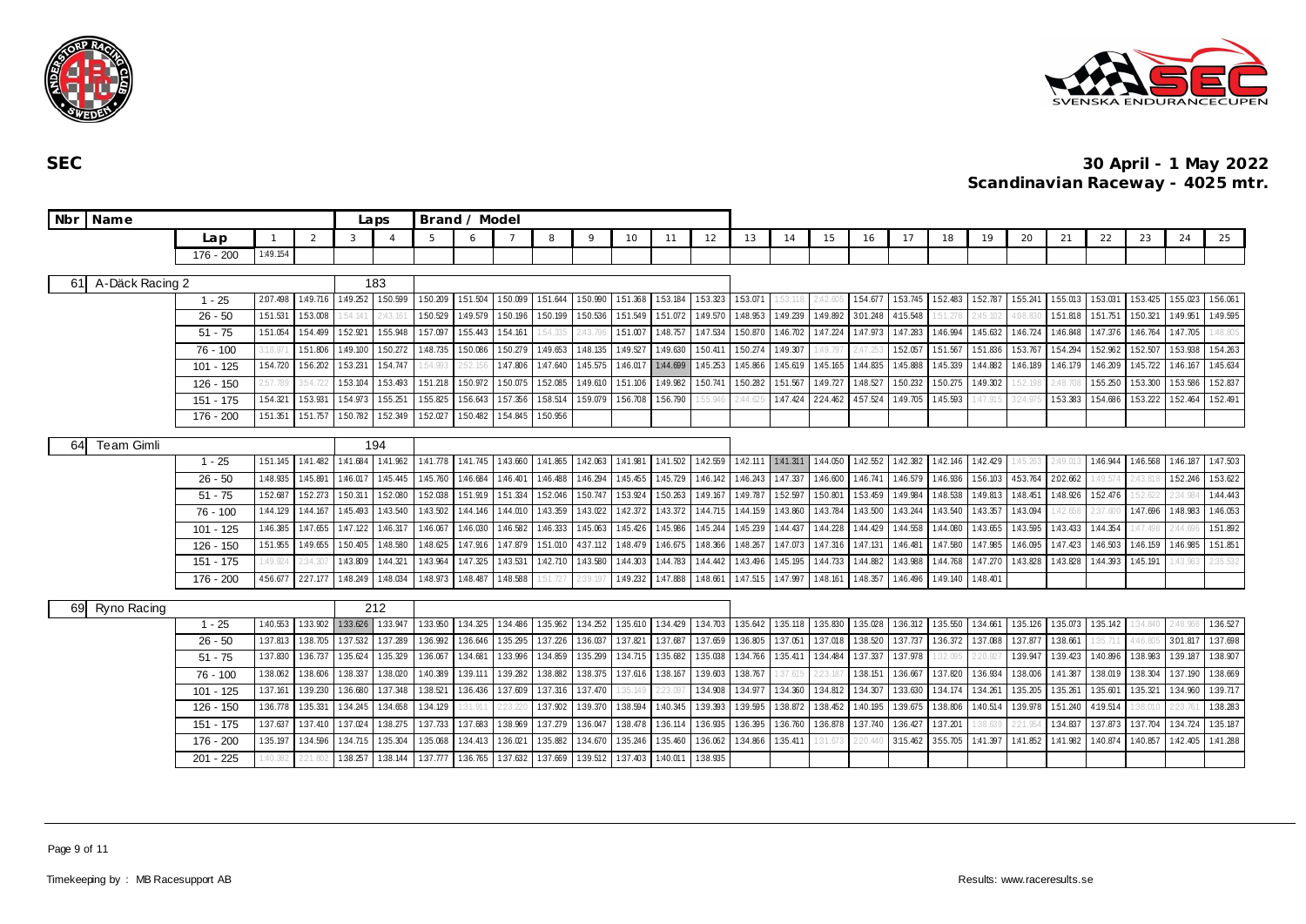



| Nbr | Name              |                        |                      | Laps                 |                   | Brand / Model       |                     |                      |                     |                      |                     |                    |                     |                     |                     |                    |                     |                      |                             |                    |                     |          |                     |                     |                      |                     |                     |
|-----|-------------------|------------------------|----------------------|----------------------|-------------------|---------------------|---------------------|----------------------|---------------------|----------------------|---------------------|--------------------|---------------------|---------------------|---------------------|--------------------|---------------------|----------------------|-----------------------------|--------------------|---------------------|----------|---------------------|---------------------|----------------------|---------------------|---------------------|
|     |                   | Lap                    |                      | 2                    | 3                 |                     |                     | 6                    |                     | 8                    | $\circ$             | 10                 | 11                  | 12                  | 13                  | 14                 | 15                  | 16                   | 17                          | 18                 | 19                  | 20       | 21                  | 22                  | 23                   | 24                  | 25                  |
|     |                   | 176 - 200              | 1:49.154             |                      |                   |                     |                     |                      |                     |                      |                     |                    |                     |                     |                     |                    |                     |                      |                             |                    |                     |          |                     |                     |                      |                     |                     |
|     |                   |                        |                      |                      |                   |                     |                     |                      |                     |                      |                     |                    |                     |                     |                     |                    |                     |                      |                             |                    |                     |          |                     |                     |                      |                     |                     |
| 61  | A-Däck Racing 2   |                        |                      |                      |                   | 183                 |                     |                      |                     |                      |                     |                    |                     |                     |                     |                    |                     |                      |                             |                    |                     |          |                     |                     |                      |                     |                     |
|     |                   | $1 - 25$               | 2.07.498<br>1:51.531 | 1:49.716<br>1:53.008 | 1:49.252          | 1:50.599<br>2:43.16 | 150.209<br>1:50.529 | 1:51.504<br>1:49.579 | 150.099<br>1:50.196 | 1:51.644<br>1:50.199 | 1:50.990<br>150.536 | 151.368<br>151.549 | 1:53.184<br>151.072 | 153.323<br>1:49.570 | 153.071<br>1:48.953 | .53.11<br>1:49.239 | 2:42.60<br>1:49.892 | 1:54.677<br>3.01.248 | 153.745 152.483<br>4:15.548 |                    | 152.787<br>2:45.102 | 1:55.241 | 1:55.013<br>151.818 | 1:53.031<br>151.751 | 1:53.425<br>1:50.321 | 155.023<br>1:49.951 | 156.061<br>1:49.595 |
|     |                   | $26 - 50$<br>$51 - 75$ | 151.054              | 1:54.499             | 54.141<br>152.921 | 1:55.948            | 157.097             | 1:55.443             | 154.161             | 54.335               | 2:43.796            | 1:51.007           | 1:48.757            | 1:47.534            | 1:50.870            | 1:46.702           | 1:47.224            | 1:47.973             | 1:47.283                    | 51.278<br>1:46.994 | 1:45.632            | 1:46.724 | 1:46.848            | 1:47.376            | 1:46.764             | 1:47.705            | 1:48.805            |
|     |                   | 76 - 100               | 3:18.97              | 151.806              | 1:49.100          | 1:50.272            | 1:48.735            | 1:50.086             | 150.279             | 1:49.653             | 1:48.135            | 1:49.527           | 1:49.630            | 1:50.411            | 150.274             | 1:49.307           | 1:49.79             |                      | 152.057                     | 1:51.567           | 151.836             | 1:53.767 | 154.294             | 152.962             | 152.507              | 153.938             | 1:54.263            |
|     |                   | $101 - 125$            | 1:54.720             | 156.202              | 1:53.231          | 154.747             | 54.993              | 152.15               | 1:47.806            | 1:47.640             | 1:45.575            | 1:46.017           | 1:44.699            | 1:45.253            | 1:45.866            | 1:45.619           | 1:45.165            | 1:44.835             | 1:45.888                    | 1:45.339           | 1:44.882            | 1:46.189 | 1:46.179            | 1:46.209            | 1:45.722             | 1:46.167            | 1:45.634            |
|     |                   | $126 - 150$            | 2:57.789             | \$54.72              | 1:53.104          | 1:53.493            | 151.218             | 1:50.972             | 1:50.075            | 1:52.085             | 1:49.610            | 1:51.106           | 1:49.982            | 1:50.741            | 1:50.282            | 1:51.567           | 1:49.727            | 1:48.527             | 150.232                     | 1:50.275           | 1:49.302            |          | 48.                 | 1:55.250            | 1:53.300             | 153.586             | 1:52.837            |
|     |                   | $151 - 175$            | 1:54.321             | 1:53.931             | 1:54.973          | 1:55.251            | 1:55.825            | 1:56.643             | 157.356             | 1:58.514             | 1:59.079            | 1:56.708           | 1:56.790            | 55.946              | 2:44.62             | 1:47.424           | 2:24.462            | 4:57.524             | 1:49.705                    | 1:45.593           | :47.91              | 24.975   | 1:53.383            | 1:54.686            | 1:53.222             | 1:52.464            | 152.491             |
|     |                   | 176 - 200              | 1:51.351             | 151.757              | 1:50.782          | 1:52.349            | 1:52.027            | 1:50.482             | 1:54.845            | 1:50.956             |                     |                    |                     |                     |                     |                    |                     |                      |                             |                    |                     |          |                     |                     |                      |                     |                     |
|     |                   |                        |                      |                      |                   |                     |                     |                      |                     |                      |                     |                    |                     |                     |                     |                    |                     |                      |                             |                    |                     |          |                     |                     |                      |                     |                     |
| 64  | <b>Team Gimli</b> |                        |                      |                      |                   | 194                 |                     |                      |                     |                      |                     |                    |                     |                     |                     |                    |                     |                      |                             |                    |                     |          |                     |                     |                      |                     |                     |
|     |                   | $1 - 25$               | 1:51.145             | 1:41.482             | 1:41.684          | 1:41.962            | 1:41.778            | 1:41.745             | 1:43.660            | 1:41.865             | 1:42.063            | 1:41.981           | 1:41.502            | 1:42.559            |                     | 1:42.111 1:41.311  | 1:44.050            | 1:42.552             | 1:42.382 1:42.146           |                    | 1:42.429            | :45.263  | $-49.01$            | 1:46.944            | 1:46.568             | 1:46.187            | 1:47.503            |
|     |                   | $26 - 50$              | 1:48.935             | 1:45.891             | 1:46.017          | 1:45.445            | 1:45.760            | 1:46.684             | 1:46.401            | 1:46.488             | 1:46.294            | 1:45.455           | 1:45.729            | 1:46.142            | 1:46.243            | 1:47.337           | 1:46.600            | 1:46.741             | 1:46.579                    | 1:46.936           | 156.103             | 453.764  | 2:02.662            | 1:49.574            | 2:43.81              | 1:52.246            | 153.622             |
|     |                   | $51 - 75$              | 1:52.687             | 152.273              | 1:50.311          | 1:52.080            | 1:52.038            | 1:51.919             | 151.334             | 1:52.046             | 150.747             | 1:53.924           | 1:50.263            | 1:49.167            | 1:49.787            | 1:52.597           | 150.801             | 153.459              | 1:49.984                    | 1:48.538           | 1:49.813            | 1:48.451 | 1:48.926            | 1:52.476            | 52.62                | 2:34.984            | 1:44.443            |
|     |                   | 76 - 100               | 1:44.129             | 1:44.167             | 1:45.493          | 1:43.540            | 1:43.502            | 1:44.146             | 1:44.010            | 1:43.359             | 1:43.022            | 1:42.372           | 1:43.372            | 1:44.715            | 1:44.159            | 1:43.860           | 1:43.784            | 1:43.500             | 1:43.244                    | 1:43.540           | 1:43.357            | 1:43.094 | :42.658             | 2:37.600            | 1:47.696             | 1:48.983            | 1:46.053            |
|     |                   | $101 - 125$            | 1:46.385             | 1:47.655             | 1:47.122          | 1:46.317            | 1:46.067            | 1:46.030             | 1:46.582            | 1:46.333             | 1:45.063            | 1:45.426           | 1:45.986            | 1:45.244            | 1:45.239            | 1:44.437           | 1:44.228            | 1:44.429             | 1:44.558                    | 1:44.080           | 1:43.655            | 1:43.595 | 1:43.433            | 1:44.354            | :47.49               | 2:44.69             | 151.892             |
|     |                   | 126 - 150              | 1:51.955             | 1:49.655             | 1:50.405          | 1:48.580            | 1:48.625            | 1:47.916             | 1:47.879            | 151.010              | 4:37.112            | 1:48.479           | 1:46.675            | 1:48.366            | 1:48.267            | 1:47.073           | 1:47.316            | 1:47.131             | 1:46.481                    | 1:47.580           | 1:47.985            | 1:46.095 | 1:47.423            | 1:46.503            | 1:46.159             | 1:46.985            | 1:51.851            |
|     |                   | $151 - 175$            | 1:49.924             | :34.30               | 1:43.809          | 1:44.321            | 1:43.964            | 1:47.325             | 1:43.531            | 1:42.710             | 1:43.580            | 1:44.303           | 1:44.783            | 1:44.442            | 1:43.496            | 1:45.195           | 1:44.733            | 1:44.882             | 1:43.988                    | 1:44.768           | 1:47.270            | 1:43.828 | 1:43.828            | 1:44.393            | 1:45.191             | 1:43.963            | 2:35.532            |
|     |                   | 176 - 200              | 4:56.677             | 2:27.177             | 1:48.249          | 1:48.034            | 1:48.973            | 1:48.487             | 1:48.588            | 51.727               |                     | 1:49.232           | 1:47.888            | 1:48.661            | 1:47.515            | 1:47.997           | 1:48.161            | 1:48.357             | 1:46.496                    | 1:49.140           | 1:48.401            |          |                     |                     |                      |                     |                     |
| 69  | Ryno Racing       |                        |                      |                      |                   | 212                 |                     |                      |                     |                      |                     |                    |                     |                     |                     |                    |                     |                      |                             |                    |                     |          |                     |                     |                      |                     |                     |
|     |                   | $1 - 25$               | 1:40.553             | 1:33.902             | 1:33.626          | 1:33.947            | 1:33.950            | 1:34.325             | 1:34.486            | 1:35.962             | 1:34.252            | 1:35.610           | 1:34.429            | 1:34.703            | 1:35.642            | 1:35.118           | 1:35.830            | 1:35.028             | 1:36.312 1:35.550           |                    | 1:34.661            | 1:35.126 | 1:35.073            | 1:35.142            | 1:34.840             | 2:48.966            | 1:36.527            |
|     |                   | $26 - 50$              | 1:37.813             | 1:38.705             | 1:37.532          | 1:37.289            | 1:36.992            | 1:36.646             | 1:35.295            | 1:37.226             | 1:36.037            | 1:37.821           | 1:37.687            | 1:37.659            | 1:36.805            | 1:37.051           | 1:37.018            | 1:38.520             | 1:37.737                    | 1:36.372           | 1:37.088            | 137.877  | 1:38.661            |                     | 1:46.80              | 3:01.817            | 1:37.698            |
|     |                   | $51 - 75$              | 1:37.830             | 1:36.737             | 1:35.624          | 1:35.329            | 1:36.067            | 1:34.681             | 1:33.996            | 1:34.859             | 1:35.299            | 1:34.715           | 1:35.682            | 1:35.038            | 1:34.766            | 1:35.411           | 1:34.484            | 1:37.337             | 1:37.978                    | :32.09!            | 220.92              | 1:39.947 | 1:39.423            | 1:40.896            | 1:38.983             | 1:39.187            | 1:38.907            |
|     |                   | $76 - 100$             | 1:38.062             | 1:38.606             | 1:38.337          | 1:38.020            | 1:40.389            | 1:39.111             | 1:39.282            | 1:38.882             | 1:38.375            | 1:37.616           | 1:38.167            | 1:39.603            | 1:38.767            | :37.615            | 2:23.18             | 1:38.151             | 1:36.667                    | 1:37.820           | 1:36.934            | 1:38.006 | 1:41.387            | 1:38.019            | 1:38.304             | 1:37.190            | 1:38.669            |
|     |                   | $101 - 125$            | 1:37.161             | 1:39.230             | 1:36.680          | 1:37.348            | 1:38.521            | 1:36.436             | 1:37.609            | 1:37.316             | 1:37.470            | :35.149            | 2:23.09             | 1:34.908            | 1:34.977            | 1:34.360           | 1:34.812            | 1:34.307             | 1:33.630                    | 1:34.174           | 1:34.261            | 1:35.205 | 1:35.261            | 1:35.601            | 1:35.321             | 1:34.960            | 1:39.717            |
|     |                   | $126 - 150$            | 1:36.778             | 1:35.331             | 1:34.245          | 1:34.658            | 1:34.129            | 1:31.911             | 2:23.220            | 1:37.902             | 1:39.370            | 1:38.594           | 1:40.345            | 1:39.393            | 1:39.595            | 1:38.872           | 1:38.452            | 1:40.195             | 1:39.675                    | 1:38.806           | 1:40.514            | 1:39.978 | 1:51.240            | 4:19.514            | 38.01                | 2:23.761            | 1:38.283            |
|     |                   | 151 - 175              | 1:37.637             | 1:37.410             | 1:37.024          | 1:38.275            | 1:37.733            | 1:37.683             | 1:38.969            | 1:37.279             | 1:36.047            | 1:38.478           | 1:36.114            | 1:36.935            | 1:36.395            | 1:36.760           | 1:36.878            | 1:37.740             | 1:36.427                    | 1:37.201           | :38.63              |          | 1:34.837            | 1:37.873            | 1:37.704             | 1:34.724            | 1:35.187            |
|     |                   | 176 - 200              | 1:35.197             | 1:34.596             | 1:34.715          | 1:35.304            | 1:35.068            | 1:34.413             | 1:36.021            | 1:35.882             | 1:34.670            | 1:35.246           | 1:35.460            | 1:36.062            | 1:34.866            | 1:35.411           | 1:31.67             |                      | 3:15.462                    | 3:55.705           | 1:41.397            | 1:41.852 | 1:41.982            | 1:40.874            | 1:40.857             | 1:42.405            | 1:41.288            |
|     |                   | $201 - 225$            | :40.382              |                      | 1:38.257          | 1:38.144            | 1:37.777            | 1:36.765             | 1:37.632            | 1:37.669             | 1:39.512            | 1:37.403           | 1:40.01             | 1:38.935            |                     |                    |                     |                      |                             |                    |                     |          |                     |                     |                      |                     |                     |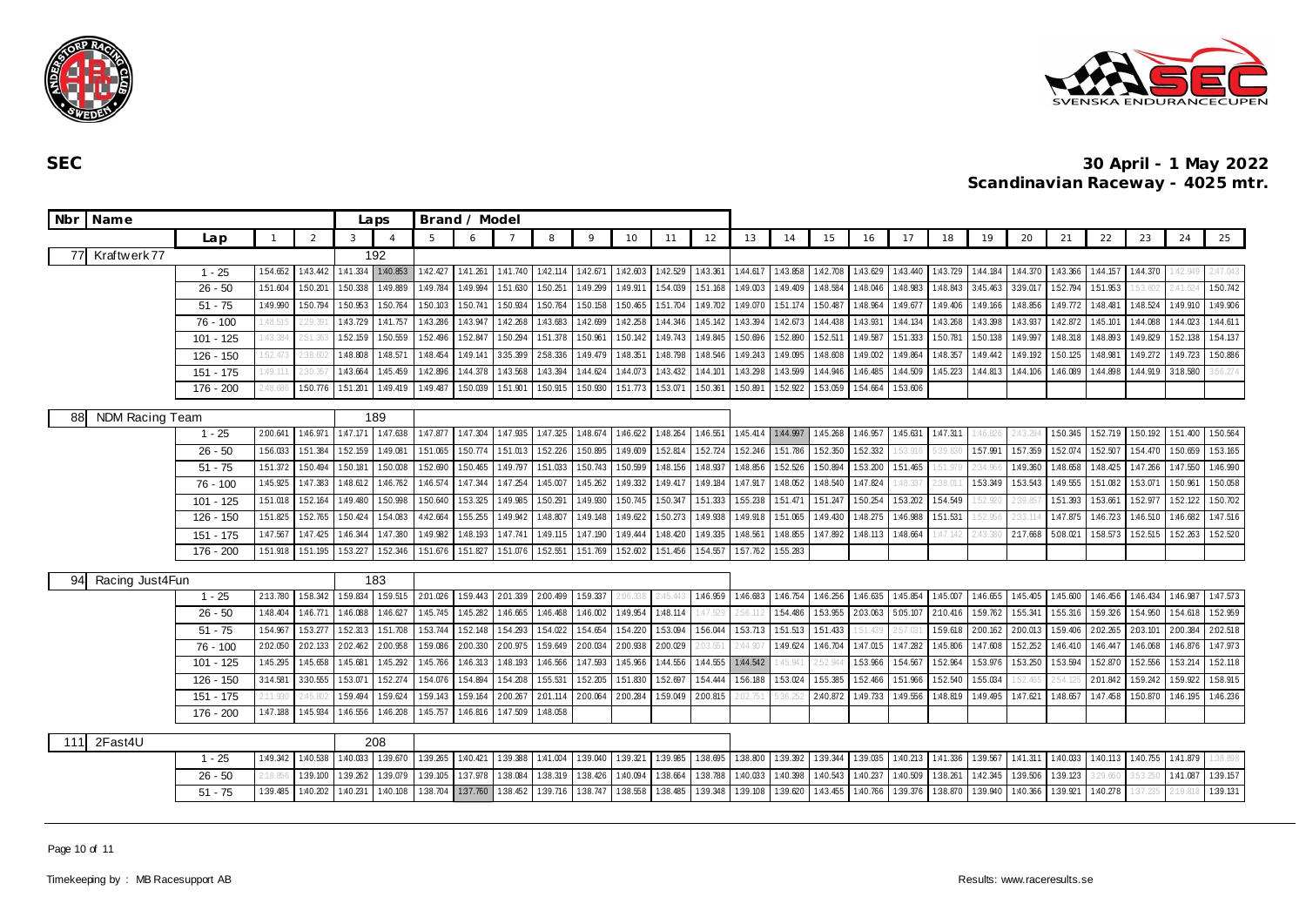



| Nbr<br>Name            |                                   |          |                | Laps          |                | Brand / Model |          |          |          |             |          |          |          |          |          |          |          |                   |          |          |          |          |          |          |          |          |
|------------------------|-----------------------------------|----------|----------------|---------------|----------------|---------------|----------|----------|----------|-------------|----------|----------|----------|----------|----------|----------|----------|-------------------|----------|----------|----------|----------|----------|----------|----------|----------|
|                        | Lap                               |          | $\overline{2}$ | $\mathcal{R}$ | $\overline{A}$ |               | 6        |          | 8        | $\mathsf Q$ | 10       | 11       | 12       | 13       | 14       | 15       | 16       | 17                | 18       | 19       | 20       | 21       | 22       | 23       | 24       | 25       |
| Kraftwerk77<br>77      |                                   |          |                |               | 192            |               |          |          |          |             |          |          |          |          |          |          |          |                   |          |          |          |          |          |          |          |          |
|                        | $1 - 25$                          | 1:54.652 | 1:43.442       | 1:41.334      | 1:40.853       | 1:42.427      | 1:41.261 | 1:41.740 | 1:42.114 | 1:42.671    | 1:42.603 | 1:42.529 | 1:43.361 | 1:44.617 | 1:43.858 | 1:42.708 | 1:43.629 | 1:43.440          | 1:43.729 | 1:44.184 | 1:44.370 | 1:43.366 | 1:44.157 | 1:44.370 | :42.949  | 2:47.043 |
|                        | $26 - 50$                         | 1:51.604 | 1:50.20        | 1:50.338      | 1:49.889       | 1:49.784      | 1:49.994 | 1:51.630 | 1:50.251 | 1:49.299    | 1:49.91  | 154.039  | 1:51.168 | 1:49.003 | 1:49.409 | 1:48.584 | 1:48.046 | 1:48.983          | 1:48.843 | 3:45.463 | 3:39.017 | 1:52.794 | 151.953  | 53.602   | 2:41.524 | 1:50.742 |
|                        | $51 - 75$                         | 1:49.990 | 1:50.794       | 1:50.953      | 1:50.764       | 1:50.103      | 1:50.741 | 1:50.934 | 1:50.764 | 1:50.158    | 1:50.465 | 151.704  | 1:49.702 | 1:49.070 | 1:51.174 | 1:50.487 | 1:48.964 | 1:49.677          | 1:49.406 | 1:49.166 | 1:48.856 | 1:49.772 | 1:48.481 | 1:48.524 | 1:49.910 | 1:49.906 |
|                        | 76 - 100                          | :48.515  | 29.39          | 1:43.729      | 1:41.757       | 1:43.286      | 1:43.947 | 1:42.268 | 1:43.683 | 1:42.699    | 1:42.258 | 1:44.346 | 1:45.142 | 1:43.394 | 1:42.673 | 1:44.438 | 1:43.931 | 1:44.134          | 1:43.268 | 1:43.398 | 1:43.937 | 1:42.872 | 1:45.101 | 1:44.088 | 1:44.023 | 1:44.611 |
|                        | $101 - 125$                       | :43.384  | :51.36         | 1:52.159      | 1:50.559       | 1:52.496      | 1:52.847 | 1:50.294 | 1:51.378 | 1:50.961    | 1:50.142 | 1:49.743 | 1:49.845 | 1:50.696 | 1:52.890 | 1:52.511 | 1:49.587 | 1:51.333          | 1:50.781 | 1:50.138 | 1:49.997 | 1:48.318 | 1:48.893 | 1:49.829 | 1:52.138 | 154.137  |
|                        | 126 - 150                         | :52.47   | 38.6           | 1:48.808      | 1:48.571       | 1:48.454      | 1:49.141 | 3:35.399 | 2:58.336 | 1:49.479    | 1:48.351 | 1:48.798 | 1:48.546 | 1:49.243 | 1:49.095 | 1:48.608 | 1:49.002 | 1:49.864          | 1:48.357 | 1:49.442 | 1:49.192 | 1:50.125 | 1:48.981 | 1:49.272 | 1:49.723 | 1:50.886 |
|                        | 151 - 175                         | :49.11   |                | 1:43.664      | 1:45.459       | 1:42.896      | 1:44.378 | 1:43.568 | 1:43.394 | 1:44.624    | 1:44.073 | 1:43.432 | 1:44.101 | 1:43.298 | 1:43.599 | 1:44.946 | 1:46.485 | 1:44.509          | 1:45.223 | 1:44.813 | 1:44.106 | 1:46.089 | 1:44.898 | 1:44.919 | 3:18.580 | 56.274   |
|                        | 176 - 200                         | 48.68    | 1:50.776       | 1:51.201      | 1:49.419       | 1:49.487      | 1:50.039 | 1:51.901 | 1:50.915 | 1:50.930    | 151.773  | 1:53.07  | 1:50.361 | 1:50.891 | 1:52.922 | 1:53.059 | 1:54.664 | 153.606           |          |          |          |          |          |          |          |          |
| NDM Racing Team<br>881 |                                   |          |                |               | 189            |               |          |          |          |             |          |          |          |          |          |          |          |                   |          |          |          |          |          |          |          |          |
|                        | $1 - 25$                          | 2:00.641 | 1:46.971       | 1:47.171      | 1:47.638       | 1:47.877      | 1:47.304 | 1:47.935 | 1:47.325 | 1:48.674    | 1:46.622 | 1:48.264 | 1:46.551 | 1:45.414 | 1:44.997 | 1:45.268 | 1:46.957 | 1:45.631 1:47.311 |          | :46.826  | :43.294  | 1:50.345 | 152.719  | 1:50.192 | 151.400  | 1:50.564 |
|                        | $26 - 50$                         | 1:56.033 | 151.384        | 1:52.159      | 1:49.081       | 151.065       | 1:50.774 | 151.013  | 152.226  | 1:50.895    | 1:49.609 | 1:52.814 | 1:52.724 | 152.246  | 151.786  | 1:52.350 | 1:52.332 |                   | :39.83   | 1:57.991 | 157.359  | 152.074  | 1:52.507 | 1:54.470 | 1:50.659 | 1:53.165 |
|                        | $51 - 75$                         | 1:51.372 | 1:50.494       | 1:50.181      | 1:50.008       | 1:52.690      | 1:50.465 | 1:49.797 | 151.033  | 1:50.743    | 1:50.599 | 1:48.156 | 1:48.937 | 1:48.856 | 1:52.526 | 1:50.894 | 1:53.200 | 1:51.465          |          | 34.96    | 1:49.360 | 1:48.658 | 1:48.425 | 1:47.266 | 1:47.550 | 1:46.990 |
|                        | 76 - 100                          | 1:45.925 | 1:47.383       | 1:48.612      | 1:46.762       | 1:46.574      | 1:47.344 | 1:47.254 | 1:45.007 | 1:45.262    | 1:49.332 | 1:49.417 | 1:49.184 | 1:47.917 | 1:48.052 | 1:48.540 | 1:47.824 | :48.33            |          | 1:53.349 | 153.543  | 1:49.555 | 151.082  | 1:53.071 | 1:50.961 | 1:50.058 |
|                        | 101 - 125                         | 1:51.018 | 1:52.164       | 1:49.480      | 1:50.998       | 1:50.640      | 1:53.325 | 1:49.985 | 1:50.291 | 1:49.930    | 1:50.745 | 1:50.347 | 1:51.333 | 1:55.238 | 1:51.471 | 1:51.247 | 1:50.254 | 153.202           | 1:54.549 | :52.92   | 39.85    | 1:51.393 | 1:53.661 | 1:52.977 | 152.122  | 1:50.702 |
|                        | 126 - 150                         | 1:51.825 | 1:52.765       | 150.424       | 1:54.083       | 4:42.664      | 1:55.255 | 1:49.942 | 1:48.807 | 1:49.148    | 1:49.622 | 1:50.273 | 1:49.938 | 1:49.918 | 1:51.065 | 1:49.430 | 1:48.275 | 1:46.988          | 1:51.531 | 52.956   | 233.114  | 1:47.875 | 1:46.723 | 1:46.510 | 1:46.682 | 1:47.516 |
|                        | $151 - 175$                       | 1:47.567 | 1:47.425       | 1:46.344      | 1:47.380       | 1:49.982      | 1:48.193 | 1:47.741 | 1:49.115 | 1:47.190    | 1:49.444 | 1:48.420 | 1:49.335 | 1:48.561 | 1:48.855 | 1:47.892 | 1:48.113 | 1:48.664          | :47.142  | 2:43.38  | 2:17.668 | 5:08.021 | 158.573  | 1:52.515 | 152.263  | 1:52.520 |
|                        | $176 - 200$                       | 151.918  | 1:51.195       | 153.227       | 1:52.346       | 151.676       | 1:51.827 | 151.076  | 1:52.551 | 1.51.769    | 152.602  | 151.456  | 1:54.557 | 157.762  | 1:55.283 |          |          |                   |          |          |          |          |          |          |          |          |
| Racing Just4Fun<br>941 |                                   |          |                |               | 183            |               |          |          |          |             |          |          |          |          |          |          |          |                   |          |          |          |          |          |          |          |          |
|                        | $1 - 25$                          | 2:13.780 | 1:58.342       | 1:59.834      | 159.515        | 2:01.026      | 1:59.443 | 2.01.339 | 2:00.499 | 1.59.337    |          | 2454     | 1:46.959 | 1:46.683 | 1:46.754 | 1:46.256 | 1:46.635 | 1:45.854          | 1:45.007 | 1:46.655 | 1:45.405 | 1:45.600 | 1:46.456 | 1:46.434 | 1:46.987 | 1:47.573 |
|                        | $26 - 50$                         | 1:48.404 | 1:46.771       | 1:46.088      | 1:46.627       | 1:45.745      | 1:45.282 | 1:46.665 | 1:46.468 | 1:46.002    | 1:49.954 | 1:48.114 |          |          | 154.486  | 1:53.955 | 2:03.063 | 5:05.107          | 2:10.416 | 1:59.762 | 155.341  | 1:55.316 | 1:59.326 | 1:54.950 | 1:54.618 | 152.959  |
|                        | $51 - 75$                         | 1:54.967 | 153.277        | 152.313       | 1:51.708       | 153.744       | 1:52.148 | 154.293  | 1:54.022 | 154.654     | 1:54.220 | 153.094  | 1:56.044 | 153.713  | 1:51.513 | 1:51.433 | 1:51.439 | 2:57.03           | 1:59.618 | 2:00.162 | 2:00.013 | 1:59.406 | 2.02.265 | 2:03.101 | 2:00.384 | 2:02.518 |
|                        | 76 - 100                          | 2:02.050 | 2:02.133       | 2:02.462      | 2:00.958       | 1:59.086      | 2:00.330 | 2:00.975 | 159.649  | 2:00.034    | 2:00.938 | 2:00.029 | :03.55   | 2:44.90  | 1:49.624 | 1:46.704 | 1:47.015 | 1:47.282          | 1:45.806 | 1:47.608 | 1:52.252 | 1:46.410 | 1:46.447 | 1:46.068 | 1:46.876 | 1:47.973 |
|                        | $101 - 125$                       | 1:45.295 | 1:45.658       | 1:45.681      | 1:45.292       | 1:45.766      | 1:46.313 | 1:48.193 | 1:46.566 | 1:47.593    | 1:45.966 | 1:44.556 | 1:44.555 | 1:44.542 | 1.45.94  | 2:52.94  | 153.966  | 1:54.567          | 1:52.964 | 1:53.976 | 153.250  | 1:53.594 | 1:52.870 | 1:52.556 | 153.214  | 1:52.118 |
|                        | 126 - 150                         | 3:14.581 | 3:30.555       | 1.53.071      | 1:52.274       | 1:54.076      | 1:54.894 | 1:54.208 | 1:55.531 | 152.205     | 1:51.830 | 1:52.697 | 1:54.444 | 1:56.188 | 1:53.024 | 1:55.385 | 1:52.466 | 1:51.966          | 1:52.540 | 1:55.034 | :52.465  |          | 2:01.842 | 1:59.242 | 1:59.922 | 1:58.915 |
|                        | $151 - 175$                       |          | :45.80         | 1:59.494      | 1:59.624       | 159.143       | 1:59.164 | 2:00.267 | 2:01.114 | 2:00.064    | 2:00.284 | 1:59.049 | 2:00.815 |          | 5:36.25  | 2:40.872 | 1:49.733 | 1:49.556          | 1:48.819 | 1:49.495 | 1:47.621 | 1:48.657 | 1:47.458 | 1:50.870 | 1:46.195 | 1:46.236 |
|                        | 176 - 200<br>1:47.188<br>1:45.934 |          |                |               | 1:46.208       | 1:45.757      | 1:46.816 | 1:47.509 | 1:48.058 |             |          |          |          |          |          |          |          |                   |          |          |          |          |          |          |          |          |
| 2Fast4U<br>111         |                                   |          |                | 208           |                |               |          |          |          |             |          |          |          |          |          |          |          |                   |          |          |          |          |          |          |          |          |
|                        | $1 - 25$                          | 1:40.538 | 1:40.033       | 1:39.670      | 1:39.265       | 1:40.421      | 1:39.388 | 1:41.004 | 1:39.040 | 1:39.321    | 1:39.985 | 1:38.695 | 1:38.800 | 1:39.392 | 1:39.344 | 1:39.035 | 1:40.213 | 1:41.336          | 1:39.567 | 1:41.311 | 1:40.033 | 1:40.113 | 1:40.755 | 1:41.879 | 38.898   |          |
|                        | $26 - 50$                         | 2:18.85  | 1:39.100       | 1:39.262      | 1:39.079       | 1:39.105      | 1:37.978 | 1:38.084 | 1:38.319 | 1:38.426    | 1:40.094 | 1:38.664 | 1:38.788 | 1:40.033 | 1:40.398 | 1:40.543 | 1:40.237 | 1:40.509          | 1:38.261 | 1:42.345 | 1:39.506 | 1:39.123 |          |          | 1:41.087 | 1:39.157 |
|                        | $51 - 75$                         | 1:39.485 | 1:40.202       | 1:40.231      | 1:40.108       | 1:38.704      | 1:37.760 | 1:38.452 | 1:39.716 | 1:38.747    | 1:38.558 | 1:38.485 | 1:39.348 | 1:39.108 | 1:39.620 | 1:43.455 | 1:40.766 | 1:39.376          | 1:38.870 | 1:39.940 | 1:40.366 | 1:39.921 | 1:40.278 |          | 2:19.818 | 1:39.131 |